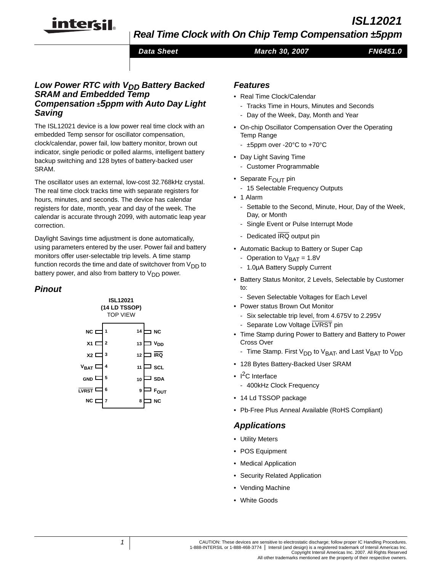# *ISL12021*

*Real Time Clock with On Chip Temp Compensation ±5ppm*

*Data Sheet March 30, 2007*

```
FN6451.0
```
## **Low Power RTC with V<sub>DD</sub> Battery Backed** *SRAM and Embedded Temp Compensation* **±***5ppm with Auto Day Light Saving*

intersil

The ISL12021 device is a low power real time clock with an embedded Temp sensor for oscillator compensation, clock/calendar, power fail, low battery monitor, brown out indicator, single periodic or polled alarms, intelligent battery backup switching and 128 bytes of battery-backed user SRAM.

The oscillator uses an external, low-cost 32.768kHz crystal. The real time clock tracks time with separate registers for hours, minutes, and seconds. The device has calendar registers for date, month, year and day of the week. The calendar is accurate through 2099, with automatic leap year correction.

Daylight Savings time adjustment is done automatically, using parameters entered by the user. Power fail and battery monitors offer user-selectable trip levels. A time stamp function records the time and date of switchover from  $V_{DD}$  to battery power, and also from battery to  $V_{DD}$  power.

# *Pinout*



## *Features*

- Real Time Clock/Calendar
	- Tracks Time in Hours, Minutes and Seconds
	- Day of the Week, Day, Month and Year
- On-chip Oscillator Compensation Over the Operating Temp Range
	- ±5ppm over -20°C to +70°C
- Day Light Saving Time
	- Customer Programmable
- Separate F<sub>OUT</sub> pin
	- 15 Selectable Frequency Outputs
- 1 Alarm
	- Settable to the Second, Minute, Hour, Day of the Week, Day, or Month
	- Single Event or Pulse Interrupt Mode
	- Dedicated IRQ output pin
- Automatic Backup to Battery or Super Cap
	- Operation to  $V<sub>BAT</sub> = 1.8V$
	- 1.0µA Battery Supply Current
- Battery Status Monitor, 2 Levels, Selectable by Customer to:
	- Seven Selectable Voltages for Each Level
- Power status Brown Out Monitor
	- Six selectable trip level, from 4.675V to 2.295V
	- Separate Low Voltage LVRST pin
- Time Stamp during Power to Battery and Battery to Power Cross Over
	- Time Stamp. First V<sub>DD</sub> to V<sub>BAT</sub>, and Last V<sub>BAT</sub> to V<sub>DD</sub>
- 128 Bytes Battery-Backed User SRAM
- $1^2C$  Interface
	- 400kHz Clock Frequency
- 14 Ld TSSOP package
- Pb-Free Plus Anneal Available (RoHS Compliant)

# *Applications*

- Utility Meters
- POS Equipment
- Medical Application
- Security Related Application
- Vending Machine
- White Goods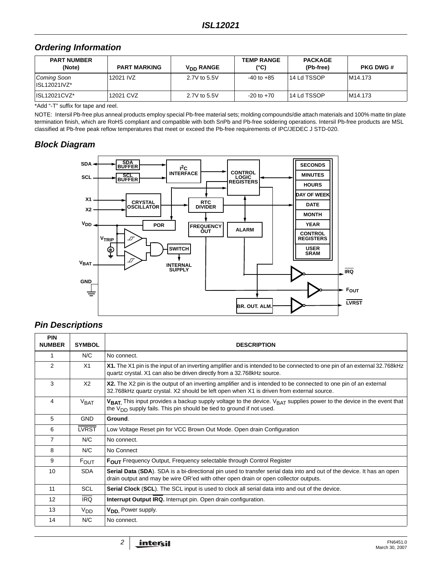# *Ordering Information*

| <b>PART NUMBER</b><br>(Note)            | <b>PART MARKING</b> | V <sub>DD</sub> RANGE | <b>TEMP RANGE</b><br>(°C) | <b>PACKAGE</b><br>(Pb-free) | <b>PKG DWG #</b> |
|-----------------------------------------|---------------------|-----------------------|---------------------------|-----------------------------|------------------|
| Coming Soon<br>$\parallel$ ISL12021IVZ* | 12021 IVZ           | 2.7V to 5.5V          | $-40$ to $+85$            | 14 Ld TSSOP                 | M14.173          |
| ISL12021CVZ*                            | 12021 CVZ           | 2.7V to 5.5V          | $-20$ to $+70$            | l 14 Ld TSSOP               | M14.173          |

\*Add "-T" suffix for tape and reel.

NOTE: Intersil Pb-free plus anneal products employ special Pb-free material sets; molding compounds/die attach materials and 100% matte tin plate termination finish, which are RoHS compliant and compatible with both SnPb and Pb-free soldering operations. Intersil Pb-free products are MSL classified at Pb-free peak reflow temperatures that meet or exceed the Pb-free requirements of IPC/JEDEC J STD-020.

# *Block Diagram*



# *Pin Descriptions*

| <b>PIN</b><br><b>NUMBER</b> | <b>SYMBOL</b>    | <b>DESCRIPTION</b>                                                                                                                                                                                            |
|-----------------------------|------------------|---------------------------------------------------------------------------------------------------------------------------------------------------------------------------------------------------------------|
| 1                           | N/C              | No connect.                                                                                                                                                                                                   |
| 2                           | X1               | X1. The X1 pin is the input of an inverting amplifier and is intended to be connected to one pin of an external 32.768kHz<br>quartz crystal. X1 can also be driven directly from a 32.768kHz source.          |
| 3                           | X <sub>2</sub>   | X2. The X2 pin is the output of an inverting amplifier and is intended to be connected to one pin of an external<br>32.768kHz quartz crystal. X2 should be left open when X1 is driven from external source.  |
| 4                           | V <sub>BAT</sub> | $V_{BAT}$ This input provides a backup supply voltage to the device. $V_{BAT}$ supplies power to the device in the event that<br>the $V_{DD}$ supply fails. This pin should be tied to ground if not used.    |
| 5                           | <b>GND</b>       | Ground.                                                                                                                                                                                                       |
| 6                           | <b>LVRST</b>     | Low Voltage Reset pin for VCC Brown Out Mode. Open drain Configuration                                                                                                                                        |
| 7                           | N/C              | No connect.                                                                                                                                                                                                   |
| 8                           | N/C              | No Connect                                                                                                                                                                                                    |
| 9                           | <b>FOUT</b>      | <b>FOUT</b> Frequency Output, Frequency selectable through Control Register                                                                                                                                   |
| 10                          | <b>SDA</b>       | Serial Data (SDA). SDA is a bi-directional pin used to transfer serial data into and out of the device. It has an open<br>drain output and may be wire OR'ed with other open drain or open collector outputs. |
| 11                          | <b>SCL</b>       | <b>Serial Clock (SCL)</b> . The SCL input is used to clock all serial data into and out of the device.                                                                                                        |
| 12                          | <b>IRQ</b>       | Interrupt Output IRQ. Interrupt pin. Open drain configuration.                                                                                                                                                |
| 13                          | V <sub>DD</sub>  | <b>V<sub>DD</sub></b> Power supply.                                                                                                                                                                           |
| 14                          | N/C              | No connect.                                                                                                                                                                                                   |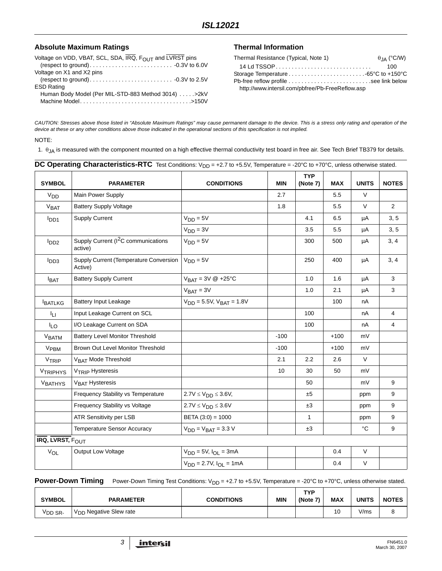## Absolute Maximum Ratings **Thermal Information**

| Voltage on VDD, VBAT, SCL, SDA, IRQ, FOUT and LVRST pins |
|----------------------------------------------------------|
|                                                          |
| Voltage on X1 and X2 pins                                |
|                                                          |
| <b>ESD Rating</b>                                        |
| Human Body Model (Per MIL-STD-883 Method 3014) > 2kV     |
|                                                          |
|                                                          |

| Thermal Resistance (Typical, Note 1)             | $\theta$ IA (°C/W) |
|--------------------------------------------------|--------------------|
|                                                  | 100                |
|                                                  |                    |
|                                                  |                    |
| http://www.intersil.com/pbfree/Pb-FreeReflow.asp |                    |

*CAUTION: Stresses above those listed in "Absolute Maximum Ratings" may cause permanent damage to the device. This is a stress only rating and operation of the device at these or any other conditions above those indicated in the operational sections of this specification is not implied.*

#### NOTE:

<span id="page-2-0"></span>1.  $θ_{JA}$  is measured with the component mounted on a high effective thermal conductivity test board in free air. See Tech Brief TB379 for details.

<span id="page-2-1"></span>

| <b>SYMBOL</b>            |                                                            |                                    |                 | <b>TYP</b>   |            |              |                  |
|--------------------------|------------------------------------------------------------|------------------------------------|-----------------|--------------|------------|--------------|------------------|
|                          | <b>PARAMETER</b>                                           | <b>CONDITIONS</b>                  | <b>MIN</b>      | (Note 7)     | <b>MAX</b> | <b>UNITS</b> | <b>NOTES</b>     |
| V <sub>DD</sub>          | Main Power Supply                                          |                                    | 2.7             |              | 5.5        | V            |                  |
| <b>VBAT</b>              | <b>Battery Supply Voltage</b>                              |                                    | 1.8             |              | 5.5        | V            | 2                |
| <b>I</b> DD <sub>1</sub> | <b>Supply Current</b>                                      | $VDD = 5V$                         |                 | 4.1          | 6.5        | μA           | 3, 5             |
|                          |                                                            | $VDD = 3V$                         |                 | 3.5          | 5.5        | μA           | 3, 5             |
| I <sub>DD2</sub>         | Supply Current (I <sup>2</sup> C communications<br>active) | $VDD = 5V$                         |                 | 300          | 500        | μA           | 3, 4             |
| I <sub>DD3</sub>         | Supply Current (Temperature Conversion<br>Active)          | $VDD = 5V$                         |                 | 250          | 400        | μA           | 3, 4             |
| <b>BAT</b>               | <b>Battery Supply Current</b>                              | $V_{BAT} = 3V @ +25°C$             |                 | 1.0          | 1.6        | μA           | 3                |
|                          |                                                            | $V_{BAT} = 3V$                     |                 | 1.0          | 2.1        | μA           | 3                |
| <b>BATLKG</b>            | <b>Battery Input Leakage</b>                               | $V_{DD} = 5.5V$ , $V_{BAT} = 1.8V$ |                 |              | 100        | nA           |                  |
| ĪЦ                       | Input Leakage Current on SCL                               |                                    |                 | 100          |            | nA           | $\overline{4}$   |
| <b>ILO</b>               | I/O Leakage Current on SDA                                 |                                    |                 | 100          |            | nA           | $\overline{4}$   |
| VBATM                    | <b>Battery Level Monitor Threshold</b>                     |                                    | $-100$          |              | $+100$     | mV           |                  |
| V <sub>PBM</sub>         | Brown Out Level Monitor Threshold                          |                                    | $-100$          |              | $+100$     | mV           |                  |
| VTRIP                    | V <sub>BAT</sub> Mode Threshold                            |                                    | 2.1             | 2.2          | 2.6        | V            |                  |
| <b>VTRIPHYS</b>          | V <sub>TRIP</sub> Hysteresis                               |                                    | 10 <sup>1</sup> | 30           | 50         | mV           |                  |
| V <sub>BATHYS</sub>      | V <sub>BAT</sub> Hysteresis                                |                                    |                 | 50           |            | mV           | 9                |
|                          | Frequency Stability vs Temperature                         | $2.7V \le V_{DD} \le 3.6V$ ,       |                 | ±5           |            | ppm          | 9                |
|                          | Frequency Stability vs Voltage                             | $2.7V \leq V_{DD} \leq 3.6V$       |                 | ±3           |            | ppm          | 9                |
|                          | <b>ATR Sensitivity per LSB</b>                             | BETA $(3:0) = 1000$                |                 | $\mathbf{1}$ |            | ppm          | 9                |
|                          | Temperature Sensor Accuracy                                | $VDD = VBAT = 3.3 V$               |                 | ±3           |            | $^{\circ}C$  | $\boldsymbol{9}$ |
| <b>IRQ, LVRST, FOUT</b>  |                                                            |                                    |                 |              |            |              |                  |
| $V_{OL}$                 | Output Low Voltage                                         | $V_{DD} = 5V$ , $I_{OL} = 3mA$     |                 |              | 0.4        | $\vee$       |                  |
|                          |                                                            | $V_{DD} = 2.7V$ , $I_{OL} = 1mA$   |                 |              | 0.4        | $\vee$       |                  |
|                          |                                                            |                                    |                 |              |            |              |                  |

Power-Down Timing Power-Down Timing Test Conditions: V<sub>DD</sub> = +2.7 to +5.5V, Temperature = -20°C to +70°C, unless otherwise stated.

| <b>SYMBOL</b>       | <b>PARAMETER</b>                   | <b>CONDITIONS</b> | MIN | TVP<br>(Note | <b>MAX</b> | <b>UNITS</b> | <b>NOTES</b>  |
|---------------------|------------------------------------|-------------------|-----|--------------|------------|--------------|---------------|
| <sup>V</sup> DD SR- | V <sub>DD</sub> Negative Slew rate |                   |     |              | 10         | V/ms         | $\Omega$<br>ັ |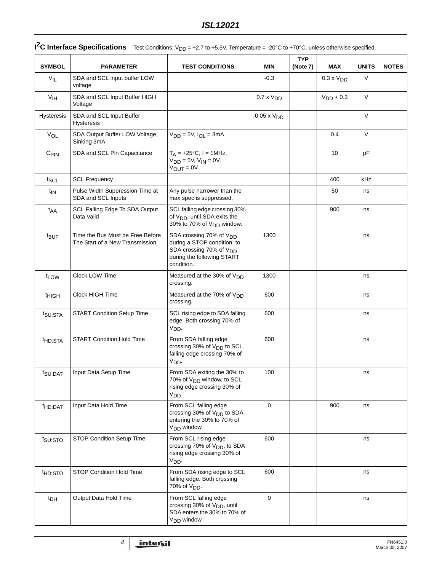| <b>SYMBOL</b>       | <b>PARAMETER</b>                                                    | <b>TEST CONDITIONS</b>                                                                                                                                |                      | <b>TYP</b><br>(Note 7) | <b>MAX</b>          | <b>UNITS</b> | <b>NOTES</b> |
|---------------------|---------------------------------------------------------------------|-------------------------------------------------------------------------------------------------------------------------------------------------------|----------------------|------------------------|---------------------|--------------|--------------|
| $V_{IL}$            | SDA and SCL input buffer LOW<br>voltage                             |                                                                                                                                                       | $-0.3$               |                        | $0.3 \times V_{DD}$ | $\vee$       |              |
| $V_{\text{IH}}$     | SDA and SCL Input Buffer HIGH<br>Voltage                            |                                                                                                                                                       | $0.7 \times V_{DD}$  |                        | $V_{DD}$ + 0.3      | V            |              |
| Hysteresis          | SDA and SCL Input Buffer<br><b>Hysteresis</b>                       |                                                                                                                                                       | $0.05 \times V_{DD}$ |                        |                     | $\vee$       |              |
| VOL                 | SDA Output Buffer LOW Voltage,<br>Sinking 3mA                       | $V_{DD} = 5V$ , $I_{OL} = 3mA$                                                                                                                        |                      |                        | 0.4                 | $\vee$       |              |
| $C_{\text{PIN}}$    | SDA and SCL Pin Capacitance                                         | $T_A = +25$ °C, f = 1MHz,<br>$VDD = 5V, VIN = 0V,$<br>$V_{\text{OUT}} = 0V$                                                                           |                      |                        | 10                  | pF           |              |
| $f_{SCL}$           | <b>SCL Frequency</b>                                                |                                                                                                                                                       |                      |                        | 400                 | kHz          |              |
| $t_{IN}$            | Pulse Width Suppression Time at<br>SDA and SCL Inputs               | Any pulse narrower than the<br>max spec is suppressed.                                                                                                |                      |                        | 50                  | ns           |              |
| t <sub>AA</sub>     | SCL Falling Edge To SDA Output<br>Data Valid                        | SCL falling edge crossing 30%<br>of V <sub>DD</sub> , until SDA exits the<br>30% to 70% of V <sub>DD</sub> window.                                    |                      |                        | 900                 | ns           |              |
| <sup>t</sup> BUF    | Time the Bus Must be Free Before<br>The Start of a New Transmission | SDA crossing 70% of V <sub>DD</sub><br>during a STOP condition, to<br>SDA crossing 70% of V <sub>DD</sub><br>during the following START<br>condition. | 1300                 |                        |                     | ns           |              |
| t <sub>LOW</sub>    | Clock LOW Time                                                      | Measured at the 30% of V <sub>DD</sub><br>crossing.                                                                                                   | 1300                 |                        |                     | ns           |              |
| <sup>t</sup> HIGH   | Clock HIGH Time                                                     | Measured at the 70% of V <sub>DD</sub><br>crossing.                                                                                                   | 600                  |                        |                     | ns           |              |
| <sup>t</sup> SU:STA | <b>START Condition Setup Time</b>                                   | SCL rising edge to SDA falling<br>edge. Both crossing 70% of<br>V <sub>DD</sub> .                                                                     | 600                  |                        |                     | ns           |              |
| <sup>t</sup> HD:STA | <b>START Condition Hold Time</b>                                    | From SDA falling edge<br>crossing 30% of V <sub>DD</sub> to SCL<br>falling edge crossing 70% of<br>$V_{DD}$                                           | 600                  |                        |                     | ns           |              |
| t <sub>SU:DAT</sub> | Input Data Setup Time                                               | From SDA exiting the 30% to<br>70% of V <sub>DD</sub> window, to SCL<br>rising edge crossing 30% of<br>V <sub>DD</sub>                                | 100                  |                        |                     | ns           |              |
| <sup>t</sup> HD:DAT | Input Data Hold Time                                                | From SCL falling edge<br>crossing 30% of V <sub>DD</sub> to SDA<br>entering the 30% to 70% of<br>V <sub>DD</sub> window.                              | $\mathbf 0$          |                        | 900                 | ns           |              |
| t <sub>su:STO</sub> | STOP Condition Setup Time                                           | From SCL rising edge<br>crossing 70% of V <sub>DD</sub> , to SDA<br>rising edge crossing 30% of<br>V <sub>DD</sub> .                                  | 600                  |                        |                     | ns           |              |
| <sup>t</sup> HD:STO | <b>STOP Condition Hold Time</b>                                     | From SDA rising edge to SCL<br>falling edge. Both crossing<br>70% of V <sub>DD</sub> .                                                                | 600                  |                        |                     | ns           |              |
| <sup>t</sup> DH     | Output Data Hold Time                                               | From SCL falling edge<br>crossing 30% of V <sub>DD</sub> , until<br>SDA enters the 30% to 70% of<br>V <sub>DD</sub> window.                           | $\mathbf 0$          |                        |                     | ns           |              |

# **I<sup>2</sup>C Interface Specifications** Test Conditions: V<sub>DD</sub> = +2.7 to +5.5V, Temperature = -20°C to +70°C, unless otherwise specified.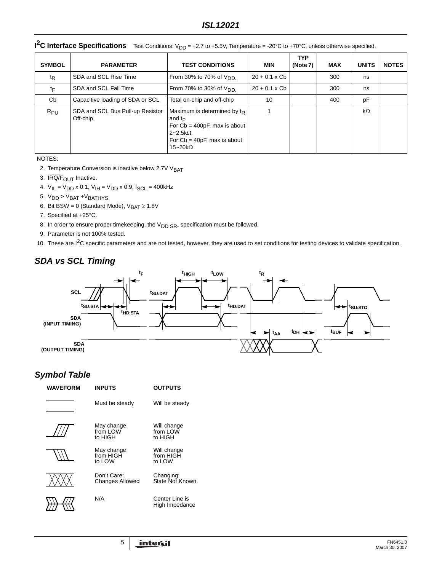| <b>SYMBOL</b>  | <b>PARAMETER</b>                             | <b>TEST CONDITIONS</b>                                                                                                                                        | MIN                  | <b>TYP</b><br>(Note 7) | <b>MAX</b> | <b>UNITS</b> | <b>NOTES</b> |
|----------------|----------------------------------------------|---------------------------------------------------------------------------------------------------------------------------------------------------------------|----------------------|------------------------|------------|--------------|--------------|
| t <sub>R</sub> | SDA and SCL Rise Time                        | From 30% to 70% of $V_{DD}$                                                                                                                                   | $20 + 0.1 \times Cb$ |                        | 300        | ns           |              |
| tF             | SDA and SCL Fall Time                        | From 70% to 30% of $V_{DD}$                                                                                                                                   | $20 + 0.1 \times Cb$ |                        | 300        | ns           |              |
| Cb             | Capacitive loading of SDA or SCL             | Total on-chip and off-chip                                                                                                                                    | 10                   |                        | 400        | pF           |              |
| $R_{PU}$       | SDA and SCL Bus Pull-up Resistor<br>Off-chip | Maximum is determined by $t_{R}$<br>and $t_{F}$ .<br>For $Cb = 400pF$ , max is about<br>$2 - 2.5k\Omega$<br>For $Cb = 40pF$ , max is about<br>15~20 $k\Omega$ |                      |                        |            | $k\Omega$    |              |

**I<sup>2</sup>C Interface Specifications** Test Conditions: V<sub>DD</sub> = +2.7 to +5.5V, Temperature = -20°C to +70°C, unless otherwise specified.

NOTES:

- <span id="page-4-1"></span>2. Temperature Conversion is inactive below 2.7V V<sub>BAT</sub>
- <span id="page-4-2"></span>3. IRQ/F<sub>OUT</sub> Inactive.
- <span id="page-4-4"></span>4.  $V_{IL} = V_{DD} \times 0.1$ ,  $V_{IH} = V_{DD} \times 0.9$ ,  $f_{SCL} = 400$ kHz
- <span id="page-4-3"></span>5.  $V_{DD}$  >  $V_{BAT}$  +  $V_{BAT}$
- 6. Bit BSW = 0 (Standard Mode),  $V_{BAT} \ge 1.8V$
- <span id="page-4-0"></span>7. Specified at +25°C.
- <span id="page-4-6"></span>8. In order to ensure proper timekeeping, the  $V_{DD SR}$  specification must be followed.
- <span id="page-4-5"></span>9. Parameter is not 100% tested.
- 10. These are I<sup>2</sup>C specific parameters and are not tested, however, they are used to set conditions for testing devices to validate specification.

# *SDA vs SCL Timing*



# *Symbol Table*

| <b>WAVEFORM</b> | <b>INPUTS</b>                         | <b>OUTPUTS</b>                     |  |  |  |
|-----------------|---------------------------------------|------------------------------------|--|--|--|
|                 | Must be steady                        | Will be steady                     |  |  |  |
|                 | May change<br>from LOW<br>to HIGH     | Will change<br>from LOW<br>to HIGH |  |  |  |
|                 | May change<br>from HIGH<br>to I OW    | Will change<br>from HIGH<br>to LOW |  |  |  |
|                 | Don't Care:<br><b>Changes Allowed</b> | Changing:<br>State Not Known       |  |  |  |
|                 | N/A                                   | Center Line is<br>High Impedance   |  |  |  |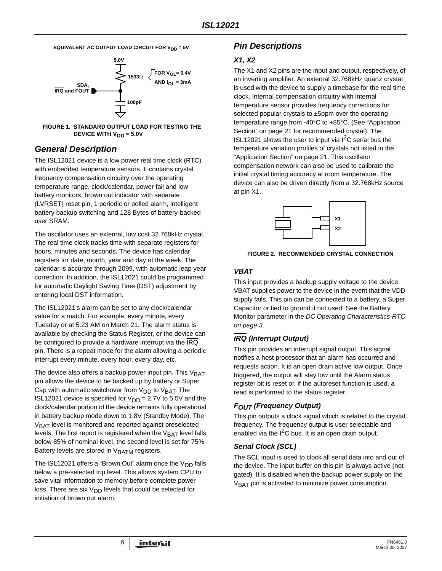**EQUIVALENT AC OUTPUT LOAD CIRCUIT FOR V<sub>DD</sub> = 5V** 





# *General Description*

The ISL12021 device is a low power real time clock (RTC) with embedded temperature sensors. It contains crystal frequency compensation circuitry over the operating temperature range, clock/calendar, power fail and low battery monitors, brown out indicator with separate (LVRSET) reset pin, 1 periodic or polled alarm, intelligent battery backup switching and 128 Bytes of battery-backed user SRAM.

The oscillator uses an external, low cost 32.768kHz crystal. The real time clock tracks time with separate registers for hours, minutes and seconds. The device has calendar registers for date, month, year and day of the week. The calendar is accurate through 2099, with automatic leap year correction. In addition, the ISL12021 could be programmed for automatic Daylight Saving Time (DST) adjustment by entering local DST information.

The ISL12021's alarm can be set to any clock/calendar value for a match. For example, every minute, every Tuesday or at 5:23 AM on March 21. The alarm status is available by checking the Status Register, or the device can be configured to provide a hardware interrupt via the IRQ pin. There is a repeat mode for the alarm allowing a periodic interrupt every minute, every hour, every day, etc.

The device also offers a backup power input pin. This  $V<sub>BAT</sub>$ pin allows the device to be backed up by battery or Super Cap with automatic switchover from  $V_{DD}$  to  $V_{BAT}$ . The ISL12021 device is specified for  $V_{DD} = 2.7V$  to 5.5V and the clock/calendar portion of the device remains fully operational in battery backup mode down to 1.8V (Standby Mode). The V<sub>BAT</sub> level is monitored and reported against preselected levels. The first report is registered when the  $V<sub>BAT</sub>$  level falls below 85% of nominal level, the second level is set for 75%. Battery levels are stored in  $V<sub>BATM</sub>$  registers.

The ISL12021 offers a "Brown Out" alarm once the  $V_{DD}$  falls below a pre-selected trip level. This allows system CPU to save vital information to memory before complete power loss. There are six  $V_{DD}$  levels that could be selected for initiation of brown out alarm.

# *Pin Descriptions*

# *X1, X2*

The X1 and X2 pins are the input and output, respectively, of an inverting amplifier. An external 32.768kHz quartz crystal is used with the device to supply a timebase for the real time clock. Internal compensation circuitry with internal temperature sensor provides frequency corrections for selected popular crystals to ±5ppm over the operating temperature range from -40°C to +85°C. (See ["Application](#page-20-0)  [Section" on page 21](#page-20-0) for recommended crystal). The ISL12021 allows the user to input via  $I^2C$  serial bus the temperature variation profiles of crystals not listed in the ["Application Section" on page 21.](#page-20-0) This oscillator compensation network can also be used to calibrate the initial crystal timing accuracy at room temperature. The device can also be driven directly from a 32.768kHz source at pin X1.



**FIGURE 2. RECOMMENDED CRYSTAL CONNECTION**

# *VBAT*

This input provides a backup supply voltage to the device. VBAT supplies power to the device in the event that the VDD supply fails. This pin can be connected to a battery, a Super Capacitor or tied to ground if not used. See the Battery Monitor parameter in the *DC Operating Characteristics-RTC on [page 3.](#page-2-1)*

# *IRQ (Interrupt Output)*

This pin provides an interrupt signal output. This signal notifies a host processor that an alarm has occurred and requests action. It is an open drain active low output. Once triggered, the output will stay low until the Alarm status register bit is reset or, if the autoreset function is used, a read is performed to the status register.

# *FOUT (Frequency Output)*

This pin outputs a clock signal which is related to the crystal frequency. The frequency output is user selectable and enabled via the  $I^2C$  bus. It is an open drain output.

# *Serial Clock (SCL)*

The SCL input is used to clock all serial data into and out of the device. The input buffer on this pin is always active (not gated). It is disabled when the backup power supply on the V<sub>BAT</sub> pin is activated to minimize power consumption.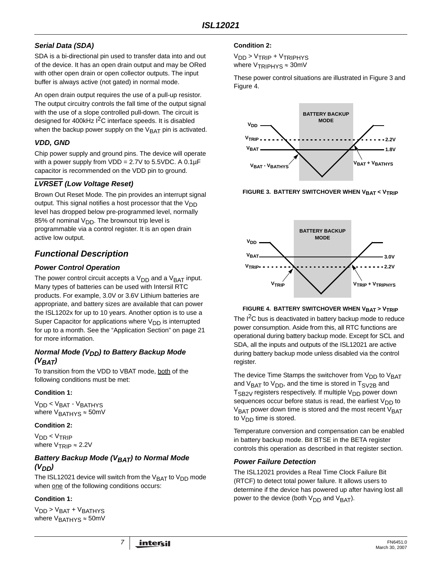# *Serial Data (SDA)*

SDA is a bi-directional pin used to transfer data into and out of the device. It has an open drain output and may be ORed with other open drain or open collector outputs. The input buffer is always active (not gated) in normal mode.

An open drain output requires the use of a pull-up resistor. The output circuitry controls the fall time of the output signal with the use of a slope controlled pull-down. The circuit is designed for 400 $k$ Hz  $1<sup>2</sup>C$  interface speeds. It is disabled when the backup power supply on the  $V<sub>BAT</sub>$  pin is activated.

# *VDD, GND*

Chip power supply and ground pins. The device will operate with a power supply from  $VDD = 2.7V$  to 5.5VDC. A 0.1 $\mu$ F capacitor is recommended on the VDD pin to ground.

# *LVRSET (Low Voltage Reset)*

Brown Out Reset Mode. The pin provides an interrupt signal output. This signal notifies a host processor that the  $V_{DD}$ level has dropped below pre-programmed level, normally 85% of nominal  $V_{DD}$ . The brownout trip level is programmable via a control register. It is an open drain active low output.

# *Functional Description*

# *Power Control Operation*

The power control circuit accepts a  $V_{DD}$  and a  $V_{BAT}$  input. Many types of batteries can be used with Intersil RTC products. For example, 3.0V or 3.6V Lithium batteries are appropriate, and battery sizes are available that can power the ISL1202x for up to 10 years. Another option is to use a Super Capacitor for applications where  $V_{DD}$  is interrupted for up to a month. See the ["Application Section" on page 21](#page-20-0) for more information.

## *Normal Mode (V<sub>DD</sub>) to Battery Backup Mode (VBAT)*

To transition from the VDD to VBAT mode, both of the following conditions must be met:

# **Condition 1:**

V<sub>DD</sub> < V<sub>BAT</sub> - V<sub>BATHYS</sub> where  $V<sub>BATHYS</sub> \approx 50$ mV

### **Condition 2:**

V<sub>DD</sub> < V<sub>TRIP</sub> where  $V_{TRIP} \approx 2.2V$ 

## **Battery Backup Mode (VBAT) to Normal Mode** *(VDD)*

The ISL12021 device will switch from the  $V_{\text{BAT}}$  to  $V_{\text{DD}}$  mode when one of the following conditions occurs:

### **Condition 1:**

 $V<sub>DD</sub> > V<sub>BAT</sub> + V<sub>BATHYS</sub>$ where  $V<sub>BATHYS</sub> \approx 50$ mV

### **Condition 2:**

V<sub>DD</sub> > V<sub>TRIP</sub> + V<sub>TRIPHYS</sub> where  $V_{TRIPHYS} \approx 30$ mV

These power control situations are illustrated in Figure [3](#page-6-0) and Figure [4.](#page-6-1)



<span id="page-6-0"></span>**FIGURE 3. BATTERY SWITCHOVER WHEN VBAT < VTRIP** 



#### **FIGURE 4. BATTERY SWITCHOVER WHEN V<sub>BAT</sub> > V<sub>TRIP</sub>**

<span id="page-6-1"></span>The I<sup>2</sup>C bus is deactivated in battery backup mode to reduce power consumption. Aside from this, all RTC functions are operational during battery backup mode. Except for SCL and SDA, all the inputs and outputs of the ISL12021 are active during battery backup mode unless disabled via the control register.

The device Time Stamps the switchover from  $V_{DD}$  to  $V_{BAT}$ and  $V<sub>BAT</sub>$  to  $V<sub>DD</sub>$ , and the time is stored in  $T<sub>SV2B</sub>$  and T<sub>SB2V</sub> registers respectively. If multiple V<sub>DD</sub> power down sequences occur before status is read, the earliest  $V_{DD}$  to  $V<sub>BAT</sub>$  power down time is stored and the most recent  $V<sub>BAT</sub>$ to  $V_{DD}$  time is stored.

Temperature conversion and compensation can be enabled in battery backup mode. Bit BTSE in the BETA register controls this operation as described in that register section.

### *Power Failure Detection*

The ISL12021 provides a Real Time Clock Failure Bit (RTCF) to detect total power failure. It allows users to determine if the device has powered up after having lost all power to the device (both  $V_{DD}$  and  $V_{BAT}$ ).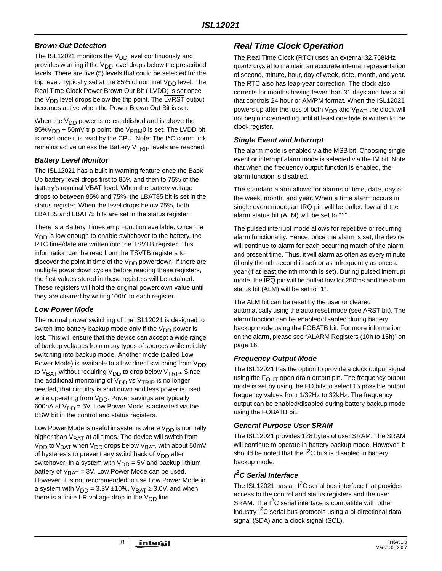# *Brown Out Detection*

The ISL12021 monitors the  $V_{DD}$  level continuously and provides warning if the  $V_{DD}$  level drops below the prescribed levels. There are five (5) levels that could be selected for the trip level. Typically set at the 85% of nominal  $V_{DD}$  level. The Real Time Clock Power Brown Out Bit ( LVDD) is set once the  $V_{DD}$  level drops below the trip point. The LVRST output becomes active when the Power Brown Out Bit is set.

When the  $V_{DD}$  power is re-established and is above the 85%V<sub>DD</sub> + 50mV trip point, the V<sub>PBM</sub>0 is set. The LVDD bit is reset once it is read by the CPU. Note: The  $I^2C$  comm link remains active unless the Battery  $V_{TRIP}$  levels are reached.

# *Battery Level Monitor*

The ISL12021 has a built in warning feature once the Back Up battery level drops first to 85% and then to 75% of the battery's nominal VBAT level. When the battery voltage drops to between 85% and 75%, the LBAT85 bit is set in the status register. When the level drops below 75%, both LBAT85 and LBAT75 bits are set in the status register.

There is a Battery Timestamp Function available. Once the  $V_{DD}$  is low enough to enable switchover to the battery, the RTC time/date are written into the TSVTB register. This information can be read from the TSVTB registers to discover the point in time of the  $V_{DD}$  powerdown. If there are multiple powerdown cycles before reading these registers, the first values stored in these registers will be retained. These registers will hold the original powerdown value until they are cleared by writing "00h" to each register.

# *Low Power Mode*

The normal power switching of the ISL12021 is designed to switch into battery backup mode only if the  $V_{DD}$  power is lost. This will ensure that the device can accept a wide range of backup voltages from many types of sources while reliably switching into backup mode. Another mode (called Low Power Mode) is available to allow direct switching from  $V_{DD}$ to  $V_{BAT}$  without requiring  $V_{DD}$  to drop below  $V_{TRIP}$ . Since the additional monitoring of  $V_{DD}$  vs  $V_{TRIP}$  is no longer needed, that circuitry is shut down and less power is used while operating from  $V_{DD}$ . Power savings are typically 600nA at  $V_{\text{DD}}$  = 5V. Low Power Mode is activated via the BSW bit in the control and status registers.

Low Power Mode is useful in systems where  $V_{DD}$  is normally higher than  $V_{\text{BAT}}$  at all times. The device will switch from  $V<sub>DD</sub>$  to  $V<sub>BAT</sub>$  when  $V<sub>DD</sub>$  drops below  $V<sub>BAT</sub>$ , with about 50mV of hysteresis to prevent any switchback of  $V_{DD}$  after switchover. In a system with  $V_{DD} = 5V$  and backup lithium battery of  $V<sub>BAT</sub> = 3V$ , Low Power Mode can be used. However, it is not recommended to use Low Power Mode in a system with  $V_{DD} = 3.3V \pm 10\%$ ,  $V_{BAT} \ge 3.0V$ , and when there is a finite I-R voltage drop in the  $V_{DD}$  line.

# *Real Time Clock Operation*

The Real Time Clock (RTC) uses an external 32.768kHz quartz crystal to maintain an accurate internal representation of second, minute, hour, day of week, date, month, and year. The RTC also has leap-year correction. The clock also corrects for months having fewer than 31 days and has a bit that controls 24 hour or AM/PM format. When the ISL12021 powers up after the loss of both  $V_{DD}$  and  $V_{BAT}$ , the clock will not begin incrementing until at least one byte is written to the clock register.

## *Single Event and Interrupt*

The alarm mode is enabled via the MSB bit. Choosing single event or interrupt alarm mode is selected via the IM bit. Note that when the frequency output function is enabled, the alarm function is disabled.

The standard alarm allows for alarms of time, date, day of the week, month, and year. When a time alarm occurs in single event mode, an IRQ pin will be pulled low and the alarm status bit (ALM) will be set to "1".

The pulsed interrupt mode allows for repetitive or recurring alarm functionality. Hence, once the alarm is set, the device will continue to alarm for each occurring match of the alarm and present time. Thus, it will alarm as often as every minute (if only the nth second is set) or as infrequently as once a year (if at least the nth month is set). During pulsed interrupt mode, the IRQ pin will be pulled low for 250ms and the alarm status bit (ALM) will be set to "1".

The ALM bit can be reset by the user or cleared automatically using the auto reset mode (see ARST bit). The alarm function can be enabled/disabled during battery backup mode using the FOBATB bit. For more information on the alarm, please see ["ALARM Registers \(10h to 15h\)" on](#page-15-0)  [page 16](#page-15-0).

# *Frequency Output Mode*

The ISL12021 has the option to provide a clock output signal using the  $F<sub>OUT</sub>$  open drain output pin. The frequency output mode is set by using the FO bits to select 15 possible output frequency values from 1/32Hz to 32kHz. The frequency output can be enabled/disabled during battery backup mode using the FOBATB bit.

# *General Purpose User SRAM*

The ISL12021 provides 128 bytes of user SRAM. The SRAM will continue to operate in battery backup mode. However, it should be noted that the  $I^2C$  bus is disabled in battery backup mode.

# *I 2C Serial Interface*

The ISL12021 has an  $I^2C$  serial bus interface that provides access to the control and status registers and the user SRAM. The I<sup>2</sup>C serial interface is compatible with other industry I<sup>2</sup>C serial bus protocols using a bi-directional data signal (SDA) and a clock signal (SCL).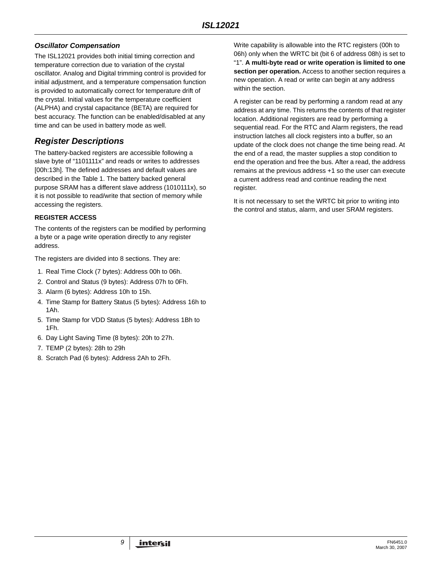# *Oscillator Compensation*

The ISL12021 provides both initial timing correction and temperature correction due to variation of the crystal oscillator. Analog and Digital trimming control is provided for initial adjustment, and a temperature compensation function is provided to automatically correct for temperature drift of the crystal. Initial values for the temperature coefficient (ALPHA) and crystal capacitance (BETA) are required for best accuracy. The function can be enabled/disabled at any time and can be used in battery mode as well.

# *Register Descriptions*

The battery-backed registers are accessible following a slave byte of "1101111x" and reads or writes to addresses [00h:13h]. The defined addresses and default values are described in the Table [1.](#page-9-0) The battery backed general purpose SRAM has a different slave address (1010111x), so it is not possible to read/write that section of memory while accessing the registers.

## **REGISTER ACCESS**

The contents of the registers can be modified by performing a byte or a page write operation directly to any register address.

The registers are divided into 8 sections. They are:

- 1. Real Time Clock (7 bytes): Address 00h to 06h.
- 2. Control and Status (9 bytes): Address 07h to 0Fh.
- 3. Alarm (6 bytes): Address 10h to 15h.
- 4. Time Stamp for Battery Status (5 bytes): Address 16h to 1Ah.
- 5. Time Stamp for VDD Status (5 bytes): Address 1Bh to 1Fh.
- 6. Day Light Saving Time (8 bytes): 20h to 27h.
- 7. TEMP (2 bytes): 28h to 29h
- 8. Scratch Pad (6 bytes): Address 2Ah to 2Fh.

Write capability is allowable into the RTC registers (00h to 06h) only when the WRTC bit (bit 6 of address 08h) is set to "1". **A multi-byte read or write operation is limited to one section per operation.** Access to another section requires a new operation. A read or write can begin at any address within the section.

A register can be read by performing a random read at any address at any time. This returns the contents of that register location. Additional registers are read by performing a sequential read. For the RTC and Alarm registers, the read instruction latches all clock registers into a buffer, so an update of the clock does not change the time being read. At the end of a read, the master supplies a stop condition to end the operation and free the bus. After a read, the address remains at the previous address +1 so the user can execute a current address read and continue reading the next register.

It is not necessary to set the WRTC bit prior to writing into the control and status, alarm, and user SRAM registers.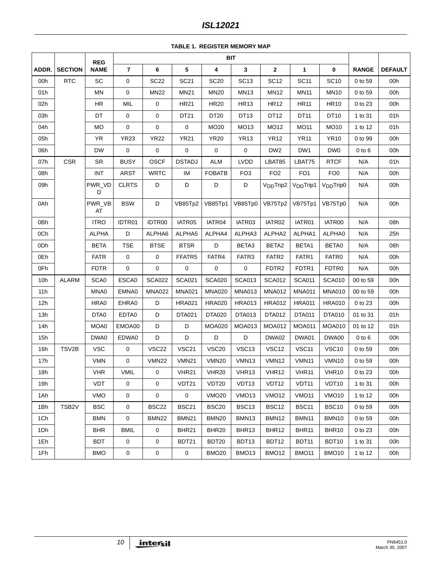# *ISL12021*

**TABLE 1. REGISTER MEMORY MAP**

<span id="page-9-0"></span>

|       |                    | <b>REG</b>   |                |                   |                   |                   | <b>BIT</b>        |                       |                       |                       |              |                |
|-------|--------------------|--------------|----------------|-------------------|-------------------|-------------------|-------------------|-----------------------|-----------------------|-----------------------|--------------|----------------|
| ADDR. | <b>SECTION</b>     | <b>NAME</b>  | $\overline{7}$ | 6                 | 5                 | 4                 | $\mathbf{3}$      | $\mathbf{2}$          | 1                     | 0                     | <b>RANGE</b> | <b>DEFAULT</b> |
| 00h   | <b>RTC</b>         | SC           | 0              | <b>SC22</b>       | <b>SC21</b>       | <b>SC20</b>       | SC <sub>13</sub>  | <b>SC12</b>           | <b>SC11</b>           | <b>SC10</b>           | 0 to 59      | 00h            |
| 01h   |                    | MN           | 0              | <b>MN22</b>       | <b>MN21</b>       | <b>MN20</b>       | <b>MN13</b>       | <b>MN12</b>           | <b>MN11</b>           | <b>MN10</b>           | 0 to 59      | 00h            |
| 02h   |                    | HR           | MIL            | $\pmb{0}$         | <b>HR21</b>       | <b>HR20</b>       | <b>HR13</b>       | <b>HR12</b>           | <b>HR11</b>           | <b>HR10</b>           | 0 to 23      | 00h            |
| 03h   |                    | DT           | $\mathsf 0$    | 0                 | DT21              | DT20              | DT <sub>13</sub>  | DT12                  | DT11                  | DT10                  | 1 to 31      | 01h            |
| 04h   |                    | <b>MO</b>    | 0              | 0                 | 0                 | MO20              | MO13              | <b>MO12</b>           | <b>MO11</b>           | MO10                  | 1 to 12      | 01h            |
| 05h   |                    | YR           | <b>YR23</b>    | <b>YR22</b>       | <b>YR21</b>       | <b>YR20</b>       | <b>YR13</b>       | <b>YR12</b>           | <b>YR11</b>           | <b>YR10</b>           | 0 to 99      | 00h            |
| 06h   |                    | <b>DW</b>    | 0              | 0                 | $\pmb{0}$         | 0                 | $\mathbf 0$       | DW <sub>2</sub>       | DW1                   | DW <sub>0</sub>       | $0$ to $6$   | 00h            |
| 07h   | <b>CSR</b>         | SR           | <b>BUSY</b>    | OSCF              | <b>DSTADJ</b>     | <b>ALM</b>        | <b>LVDD</b>       | LBAT85                | LBAT75                | <b>RTCF</b>           | N/A          | 01h            |
| 08h   |                    | <b>INT</b>   | <b>ARST</b>    | <b>WRTC</b>       | IM                | <b>FOBATB</b>     | FO <sub>3</sub>   | FO <sub>2</sub>       | FO <sub>1</sub>       | FO <sub>0</sub>       | N/A          | 00h            |
| 09h   |                    | PWR_VD<br>D  | <b>CLRTS</b>   | D                 | D                 | D                 | D                 | V <sub>DD</sub> Trip2 | V <sub>DD</sub> Trip1 | V <sub>DD</sub> Trip0 | N/A          | 00h            |
| 0Ah   |                    | PWR_VB<br>AT | <b>BSW</b>     | D                 | VB85Tp2           | VB85Tp1           | VB85Tp0           | VB75Tp2               | VB75Tp1               | VB75Tp0               | N/A          | 00h            |
| 0Bh   |                    | <b>ITRO</b>  | IDTR01         | IDTR00            | IATR05            | IATR04            | IATR03            | IATR02                | IATR01                | IATR00                | N/A          | 08h            |
| 0Ch   |                    | <b>ALPHA</b> | D              | ALPHA6            | ALPHA5            | ALPHA4            | ALPHA3            | ALPHA2                | ALPHA1                | ALPHA0                | N/A          | 25h            |
| 0Dh   |                    | <b>BETA</b>  | <b>TSE</b>     | <b>BTSE</b>       | <b>BTSR</b>       | D                 | BETA3             | BETA <sub>2</sub>     | BETA1                 | BETA0                 | N/A          | 08h            |
| 0Eh   |                    | <b>FATR</b>  | 0              | 0                 | FFATR5            | FATR4             | FATR3             | FATR <sub>2</sub>     | FATR1                 | FATR0                 | N/A          | 00h            |
| 0Fh   |                    | <b>FDTR</b>  | 0              | $\mathbf 0$       | 0                 | 0                 | 0                 | FDTR <sub>2</sub>     | FDTR1                 | FDTR <sub>0</sub>     | N/A          | 00h            |
| 10h   | <b>ALARM</b>       | SCA0         | ESCA0          | <b>SCA022</b>     | <b>SCA021</b>     | <b>SCA020</b>     | <b>SCA013</b>     | <b>SCA012</b>         | <b>SCA011</b>         | <b>SCA010</b>         | 00 to 59     | 00h            |
| 11h   |                    | MNA0         | EMNA0          | <b>MNA022</b>     | <b>MNA021</b>     | <b>MNA020</b>     | <b>MNA013</b>     | <b>MNA012</b>         | <b>MNA011</b>         | <b>MNA010</b>         | 00 to 59     | 00h            |
| 12h   |                    | HRA0         | EHRA0          | D                 | <b>HRA021</b>     | <b>HRA020</b>     | <b>HRA013</b>     | <b>HRA012</b>         | <b>HRA011</b>         | <b>HRA010</b>         | 0 to 23      | 00h            |
| 13h   |                    | DTA0         | EDTA0          | D                 | <b>DTA021</b>     | DTA020            | DTA013            | DTA012                | <b>DTA011</b>         | <b>DTA010</b>         | 01 to 31     | 01h            |
| 14h   |                    | MOA0         | EMOA00         | D                 | D                 | <b>MOA020</b>     | <b>MOA013</b>     | <b>MOA012</b>         | <b>MOA011</b>         | <b>MOA010</b>         | 01 to 12     | 01h            |
| 15h   |                    | DWA0         | EDWA0          | D                 | D                 | D                 | D                 | DWA02                 | DWA01                 | DWA00                 | $0$ to $6$   | 00h            |
| 16h   | TSV2B              | <b>VSC</b>   | 0              | VSC <sub>22</sub> | VSC21             | VSC20             | VSC13             | VSC <sub>12</sub>     | VSC11                 | <b>VSC10</b>          | 0 to 59      | 00h            |
| 17h   |                    | <b>VMN</b>   | 0              | <b>VMN22</b>      | <b>VMN21</b>      | <b>VMN20</b>      | VMN <sub>13</sub> | VMN <sub>12</sub>     | VMN11                 | VMN10                 | 0 to 59      | 00h            |
| 18h   |                    | <b>VHR</b>   | <b>VMIL</b>    | 0                 | VHR <sub>21</sub> | VHR20             | VHR <sub>13</sub> | VHR <sub>12</sub>     | VHR11                 | VHR <sub>10</sub>     | 0 to 23      | 00h            |
| 19h   |                    | <b>VDT</b>   | 0              | 0                 | VDT21             | VDT20             | VDT <sub>13</sub> | VDT12                 | VDT <sub>11</sub>     | VDT <sub>10</sub>     | 1 to 31      | 00h            |
| 1Ah   |                    | <b>VMO</b>   | $\mathbf 0$    | $\overline{0}$    | $\mathbf{0}$      | <b>VMO20</b>      | VMO <sub>13</sub> | <b>VMO12</b>          | <b>VMO11</b>          | VMO <sub>10</sub>     | 1 to 12      | 00h            |
| 1Bh   | TSB <sub>2</sub> V | <b>BSC</b>   | $\mathsf 0$    | <b>BSC22</b>      | <b>BSC21</b>      | <b>BSC20</b>      | BSC13             | BSC12                 | <b>BSC11</b>          | BSC <sub>10</sub>     | 0 to 59      | 00h            |
| 1Ch   |                    | <b>BMN</b>   | 0              | BMN22             | <b>BMN21</b>      | <b>BMN20</b>      | BMN <sub>13</sub> | BMN12                 | BMN11                 | BMN <sub>10</sub>     | 0 to 59      | 00h            |
| 1Dh   |                    | <b>BHR</b>   | <b>BMIL</b>    | $\mathbf{0}$      | BHR21             | BHR <sub>20</sub> | BHR <sub>13</sub> | BHR12                 | BHR <sub>11</sub>     | BHR <sub>10</sub>     | 0 to 23      | 00h            |
| 1Eh   |                    | <b>BDT</b>   | $\mathsf 0$    | 0                 | BDT21             | BDT20             | BDT13             | BDT12                 | BDT11                 | BDT10                 | 1 to 31      | 00h            |
| 1Fh   |                    | <b>BMO</b>   | $\mathsf 0$    | $\mathbf 0$       | $\mathbf 0$       | <b>BMO20</b>      | BMO <sub>13</sub> | BMO <sub>12</sub>     | <b>BMO11</b>          | BMO <sub>10</sub>     | 1 to 12      | 00h            |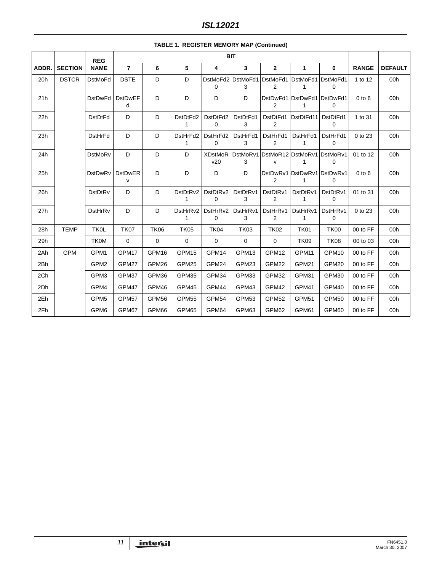|       |                | <b>REG</b>       |                                |             |                          | <b>BIT</b>            |               |                            |                                            |                                 |              |                |
|-------|----------------|------------------|--------------------------------|-------------|--------------------------|-----------------------|---------------|----------------------------|--------------------------------------------|---------------------------------|--------------|----------------|
| ADDR. | <b>SECTION</b> | <b>NAME</b>      | $\overline{7}$                 | 6           | 5                        | 4                     | 3             | $\mathbf{2}$               | 1                                          | 0                               | <b>RANGE</b> | <b>DEFAULT</b> |
| 20h   | <b>DSTCR</b>   | <b>DstMoFd</b>   | <b>DSTE</b>                    | D           | D                        | DstMoFd2<br>0         | DstMoFd1<br>3 | DstMoFd1<br>2              | DstMoFd1<br>1                              | DstMoFd1<br>0                   | 1 to 12      | 00h            |
| 21h   |                | <b>DstDwFd</b>   | <b>DstDwEF</b><br>d            | D           | D                        | D                     | D             | 2                          | DstDwFd1 DstDwFd1 DstDwFd1<br>$\mathbf{1}$ | 0                               | $0$ to $6$   | 00h            |
| 22h   |                | <b>DstDtFd</b>   | D                              | D           | DstDtFd2<br>$\mathbf{1}$ | DstDtFd2<br>0         | DstDtFd1<br>3 | DstDtFd1<br>$\overline{2}$ | DstDtFd11                                  | DstDtFd1<br>$\mathbf 0$         | 1 to 31      | 00h            |
| 23h   |                | <b>DstHrFd</b>   | D                              | D           | DstHrFd2<br>1            | DstHrFd2<br>0         | DstHrFd1<br>3 | DstHrFd1<br>$\overline{2}$ | DstHrFd1<br>1                              | DstHrFd1<br>0                   | 0 to 23      | 00h            |
| 24h   |                | <b>DstMoRv</b>   | D                              | D           | D                        | <b>XDstMoR</b><br>v20 | DstMoRv1<br>3 | DstMoR12 DstMoRv1<br>v     | 1                                          | DstMoRv1<br>0                   | 01 to 12     | 00h            |
| 25h   |                | <b>DstDwRv</b>   | <b>DstDwER</b><br>$\mathsf{v}$ | D           | D                        | D                     | D             | $\overline{2}$             | 1                                          | DstDwRv1 DstDwRv1 DstDwRv1<br>0 | $0$ to $6$   | 00h            |
| 26h   |                | DstDtRv          | D                              | D           | DstDtRv2<br>$\mathbf{1}$ | DstDtRv2<br>0         | DstDtRv1<br>3 | DstDtRv1<br>2              | DstDtRv1<br>$\mathbf{1}$                   | DstDtRv1<br>0                   | 01 to 31     | 00h            |
| 27h   |                | DstHrRv          | D                              | D           | DstHrRv2<br>1            | DstHrRv2<br>0         | DstHrRv1<br>3 | DstHrRv1<br>2              | DstHrRv1<br>1                              | DstHrRv1<br>0                   | 0 to 23      | 00h            |
| 28h   | <b>TEMP</b>    | <b>TK0L</b>      | <b>TK07</b>                    | TK06        | <b>TK05</b>              | TK04                  | <b>TK03</b>   | <b>TK02</b>                | <b>TK01</b>                                | <b>TK00</b>                     | 00 to FF     | 00h            |
| 29h   |                | <b>TK0M</b>      | $\mathbf 0$                    | $\mathbf 0$ | $\mathbf 0$              | 0                     | $\mathbf 0$   | 0                          | <b>TK09</b>                                | <b>TK08</b>                     | 00 to 03     | 00h            |
| 2Ah   | <b>GPM</b>     | GPM1             | GPM17                          | GPM16       | GPM15                    | GPM14                 | GPM13         | GPM12                      | GPM11                                      | GPM10                           | 00 to FF     | 00h            |
| 2Bh   |                | GPM <sub>2</sub> | GPM27                          | GPM26       | GPM25                    | GPM24                 | GPM23         | GPM22                      | GPM21                                      | GPM20                           | 00 to FF     | 00h            |
| 2Ch   |                | GPM3             | GPM37                          | GPM36       | GPM35                    | GPM34                 | GPM33         | GPM32                      | GPM31                                      | GPM30                           | 00 to FF     | 00h            |
| 2Dh   |                | GPM4             | GPM47                          | GPM46       | GPM45                    | GPM44                 | GPM43         | GPM42                      | GPM41                                      | GPM40                           | 00 to FF     | 00h            |
| 2Eh   |                | GPM <sub>5</sub> | GPM57                          | GPM56       | GPM55                    | GPM54                 | GPM53         | GPM52                      | GPM51                                      | GPM50                           | 00 to FF     | 00h            |
| 2Fh   |                | GPM <sub>6</sub> | GPM67                          | GPM66       | GPM65                    | GPM64                 | GPM63         | GPM62                      | GPM61                                      | GPM60                           | 00 to FF     | 00h            |

## **TABLE 1. REGISTER MEMORY MAP (Continued)**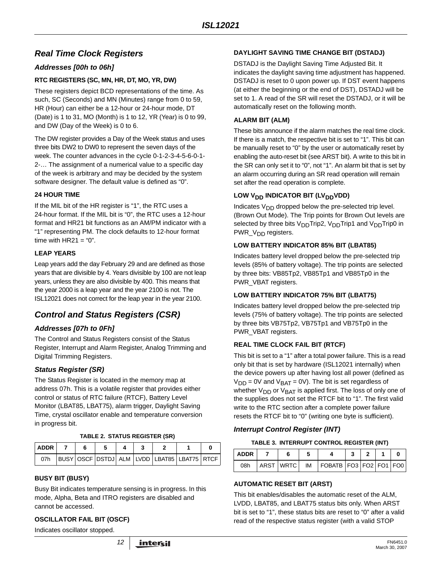# *Real Time Clock Registers*

## *Addresses [00h to 06h]*

#### **RTC REGISTERS (SC, MN, HR, DT, MO, YR, DW)**

These registers depict BCD representations of the time. As such, SC (Seconds) and MN (Minutes) range from 0 to 59, HR (Hour) can either be a 12-hour or 24-hour mode, DT (Date) is 1 to 31, MO (Month) is 1 to 12, YR (Year) is 0 to 99, and DW (Day of the Week) is 0 to 6.

The DW register provides a Day of the Week status and uses three bits DW2 to DW0 to represent the seven days of the week. The counter advances in the cycle 0-1-2-3-4-5-6-0-1- 2-… The assignment of a numerical value to a specific day of the week is arbitrary and may be decided by the system software designer. The default value is defined as "0".

#### **24 HOUR TIME**

If the MIL bit of the HR register is "1", the RTC uses a 24-hour format. If the MIL bit is "0", the RTC uses a 12-hour format and HR21 bit functions as an AM/PM indicator with a "1" representing PM. The clock defaults to 12-hour format time with  $HR21 = "0".$ 

#### **LEAP YEARS**

Leap years add the day February 29 and are defined as those years that are divisible by 4. Years divisible by 100 are not leap years, unless they are also divisible by 400. This means that the year 2000 is a leap year and the year 2100 is not. The ISL12021 does not correct for the leap year in the year 2100.

# *Control and Status Registers (CSR)*

### *Addresses [07h to 0Fh]*

The Control and Status Registers consist of the Status Register, Interrupt and Alarm Register, Analog Trimming and Digital Trimming Registers.

### *Status Register (SR)*

The Status Register is located in the memory map at address 07h. This is a volatile register that provides either control or status of RTC failure (RTCF), Battery Level Monitor (LBAT85, LBAT75), alarm trigger, Daylight Saving Time, crystal oscillator enable and temperature conversion in progress bit.

#### **TABLE 2. STATUS REGISTER (SR)**

| <b>ADDR</b> |  |  |  |  |  |                                             |  |
|-------------|--|--|--|--|--|---------------------------------------------|--|
| 07h         |  |  |  |  |  | BUSY OSCF DSTDJ ALM LVDD LBAT85 LBAT75 RTCF |  |

#### **BUSY BIT (BUSY)**

Busy Bit indicates temperature sensing is in progress. In this mode, Alpha, Beta and ITRO registers are disabled and cannot be accessed.

#### **OSCILLATOR FAIL BIT (OSCF)**

Indicates oscillator stopped.

#### **DAYLIGHT SAVING TIME CHANGE BIT (DSTADJ)**

DSTADJ is the Daylight Saving Time Adjusted Bit. It indicates the daylight saving time adjustment has happened. DSTADJ is reset to 0 upon power up. If DST event happens (at either the beginning or the end of DST), DSTADJ will be set to 1. A read of the SR will reset the DSTADJ, or it will be automatically reset on the following month.

#### **ALARM BIT (ALM)**

These bits announce if the alarm matches the real time clock. If there is a match, the respective bit is set to "1". This bit can be manually reset to "0" by the user or automatically reset by enabling the auto-reset bit (see ARST bit). A write to this bit in the SR can only set it to "0", not "1". An alarm bit that is set by an alarm occurring during an SR read operation will remain set after the read operation is complete.

#### LOW V<sub>DD</sub> INDICATOR BIT (LV<sub>DD</sub>VDD)

Indicates  $V_{DD}$  dropped below the pre-selected trip level. (Brown Out Mode). The Trip points for Brown Out levels are selected by three bits  $V_{DD}$ Trip2,  $V_{DD}$ Trip1 and  $V_{DD}$ Trip0 in PWR\_V<sub>DD</sub> registers.

#### **LOW BATTERY INDICATOR 85% BIT (LBAT85)**

Indicates battery level dropped below the pre-selected trip levels (85% of battery voltage). The trip points are selected by three bits: VB85Tp2, VB85Tp1 and VB85Tp0 in the PWR\_VBAT registers.

#### **LOW BATTERY INDICATOR 75% BIT (LBAT75)**

Indicates battery level dropped below the pre-selected trip levels (75% of battery voltage). The trip points are selected by three bits VB75Tp2, VB75Tp1 and VB75Tp0 in the PWR\_VBAT registers.

#### **REAL TIME CLOCK FAIL BIT (RTCF)**

This bit is set to a "1" after a total power failure. This is a read only bit that is set by hardware (ISL12021 internally) when the device powers up after having lost all power (defined as  $V_{\text{DD}}$  = 0V and  $V_{\text{BAT}}$  = 0V). The bit is set regardless of whether  $V_{DD}$  or  $V_{BAT}$  is applied first. The loss of only one of the supplies does not set the RTCF bit to "1". The first valid write to the RTC section after a complete power failure resets the RTCF bit to "0" (writing one byte is sufficient).

#### *Interrupt Control Register (INT)*

#### **TABLE 3. INTERRUPT CONTROL REGISTER (INT)**

| <b>ADDR</b> |           |                                       |  |  |
|-------------|-----------|---------------------------------------|--|--|
| 08h         | ARST WRTC | $IM$   FOBATB   FO3   FO2   FO1   FO0 |  |  |

#### **AUTOMATIC RESET BIT (ARST)**

This bit enables/disables the automatic reset of the ALM, LVDD, LBAT85, and LBAT75 status bits only. When ARST bit is set to "1", these status bits are reset to "0" after a valid read of the respective status register (with a valid STOP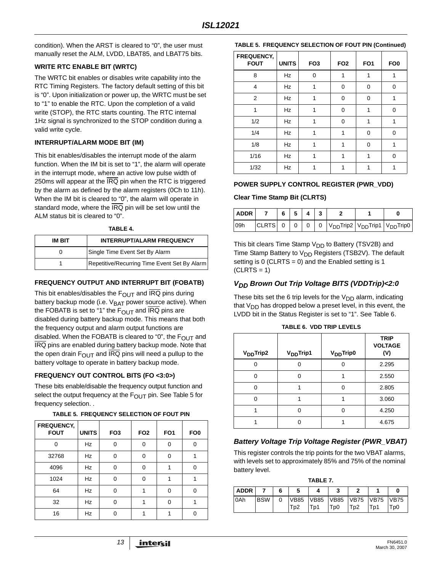condition). When the ARST is cleared to "0", the user must manually reset the ALM, LVDD, LBAT85, and LBAT75 bits.

#### **WRITE RTC ENABLE BIT (WRTC)**

The WRTC bit enables or disables write capability into the RTC Timing Registers. The factory default setting of this bit is "0". Upon initialization or power up, the WRTC must be set to "1" to enable the RTC. Upon the completion of a valid write (STOP), the RTC starts counting. The RTC internal 1Hz signal is synchronized to the STOP condition during a valid write cycle.

#### **INTERRUPT/ALARM MODE BIT (IM)**

This bit enables/disables the interrupt mode of the alarm function. When the IM bit is set to "1", the alarm will operate in the interrupt mode, where an active low pulse width of 250ms will appear at the IRQ pin when the RTC is triggered by the alarm as defined by the alarm registers (0Ch to 11h). When the IM bit is cleared to "0", the alarm will operate in standard mode, where the IRQ pin will be set low until the ALM status bit is cleared to "0".

#### **TABLE 4.**

| <b>INTERRUPT/ALARM FREQUENCY</b><br>IM BIT |                                              |  |  |  |
|--------------------------------------------|----------------------------------------------|--|--|--|
|                                            | Single Time Event Set By Alarm               |  |  |  |
|                                            | Repetitive/Recurring Time Event Set By Alarm |  |  |  |

#### **FREQUENCY OUTPUT AND INTERRUPT BIT (FOBATB)**

This bit enables/disables the  $F_{OUT}$  and  $\overline{IRQ}$  pins during battery backup mode (i.e. V<sub>BAT</sub> power source active). When the FOBATB is set to "1" the  $F_{\text{OUT}}$  and  $\overline{\text{IRQ}}$  pins are disabled during battery backup mode. This means that both the frequency output and alarm output functions are disabled. When the FOBATB is cleared to "0", the  $F_{\text{OUT}}$  and IRQ pins are enabled during battery backup mode. Note that the open drain  $F<sub>OUT</sub>$  and IRQ pins will need a pullup to the battery voltage to operate in battery backup mode.

#### **FREQUENCY OUT CONTROL BITS (FO <3:0>)**

These bits enable/disable the frequency output function and select the output frequency at the  $F_{\text{OUT}}$  pin. See Table [5](#page-12-0) for frequency selection. .

<span id="page-12-0"></span>

| <b>FREQUENCY,</b><br><b>FOUT</b> | <b>UNITS</b> | FO <sub>3</sub> | FO <sub>2</sub> | FO <sub>1</sub> | FO <sub>0</sub> |
|----------------------------------|--------------|-----------------|-----------------|-----------------|-----------------|
| O                                | Hz           | 0               | $\Omega$        | $\Omega$        | O               |
| 32768                            | <b>Hz</b>    | $\Omega$        | $\Omega$        | 0               |                 |
| 4096                             | <b>Hz</b>    | 0               | 0               |                 | 0               |
| 1024                             | Hz           | $\Omega$        | $\Omega$        | 1               | 1               |
| 64                               | <b>Hz</b>    | 0               |                 | 0               | $\Omega$        |
| 32                               | Hz           | 0               |                 | 0               |                 |
| 16                               | Hz           | ⋂               |                 |                 |                 |

#### **TABLE 5. FREQUENCY SELECTION OF FOUT PIN**

#### **TABLE 5. FREQUENCY SELECTION OF FOUT PIN (Continued)**

| <b>FREQUENCY,</b><br><b>FOUT</b> | <b>UNITS</b> | FO <sub>3</sub> | FO <sub>2</sub> | FO <sub>1</sub> | FO <sub>0</sub> |
|----------------------------------|--------------|-----------------|-----------------|-----------------|-----------------|
| 8                                | Hz           | 0               |                 |                 |                 |
| 4                                | Hz           | 1               | 0               | 0               | 0               |
| 2                                | Hz           |                 | 0               | 0               |                 |
| 1                                | Hz           | 1               | 0               | 1               | $\Omega$        |
| 1/2                              | <b>Hz</b>    |                 | 0               |                 | 1               |
| 1/4                              | Hz           | 1               | 1               | 0               | $\Omega$        |
| 1/8                              | Hz           | 1               | 1               | 0               | 1               |
| 1/16                             | Hz           | 1               | 1               | 1               | $\Omega$        |
| 1/32                             | Hz           |                 |                 |                 |                 |

#### **POWER SUPPLY CONTROL REGISTER (PWR\_VDD)**

#### **Clear Time Stamp Bit (CLRTS)**

| ADDR | 7 6 5 4 3 |  |  |  |                                                                                                 |
|------|-----------|--|--|--|-------------------------------------------------------------------------------------------------|
| 109h |           |  |  |  | $ CLRTS $ 0   0   0   0   V <sub>DD</sub> Trip2   V <sub>DD</sub> Trip1   V <sub>DD</sub> Trip0 |

This bit clears Time Stamp  $V_{DD}$  to Battery (TSV2B) and Time Stamp Battery to  $V_{DD}$  Registers (TSB2V). The default setting is  $0$  (CLRTS = 0) and the Enabled setting is 1  $(CLRTS = 1)$ 

## *VDD Brown Out Trip Voltage BITS (VDDTrip)<2:0*

These bits set the 6 trip levels for the  $V_{DD}$  alarm, indicating that  $V_{DD}$  has dropped below a preset level, in this event, the LVDD bit in the Status Register is set to "1". See Table [6.](#page-12-1)

<span id="page-12-1"></span>

| V <sub>DD</sub> Trip2 | V <sub>DD</sub> Trip1 | V <sub>DD</sub> Trip0 | <b>TRIP</b><br><b>VOLTAGE</b><br>(V) |
|-----------------------|-----------------------|-----------------------|--------------------------------------|
| ∩                     |                       |                       | 2.295                                |
| O                     | 0                     |                       | 2.550                                |
| U                     |                       | $\Omega$              | 2.805                                |
| O                     |                       |                       | 3.060                                |
|                       | 0                     | Ω                     | 4.250                                |
|                       | n                     |                       | 4.675                                |

**TABLE 6. VDD TRIP LEVELS**

### *Battery Voltage Trip Voltage Register (PWR\_VBAT)*

This register controls the trip points for the two VBAT alarms, with levels set to approximately 85% and 75% of the nominal battery level.

**TABLE 7.**

| .           |            |  |                  |     |                              |                  |     |      |  |
|-------------|------------|--|------------------|-----|------------------------------|------------------|-----|------|--|
| <b>ADDR</b> |            |  | 5                |     |                              |                  |     | 0    |  |
| 0Ah         | <b>BSW</b> |  |                  |     | VB85  VB85  VB85  VB75  VB75 |                  |     | VB75 |  |
|             |            |  | T <sub>p</sub> 2 | Tp1 | T <sub>p</sub> 0             | T <sub>p</sub> 2 | Tp1 | Tp0  |  |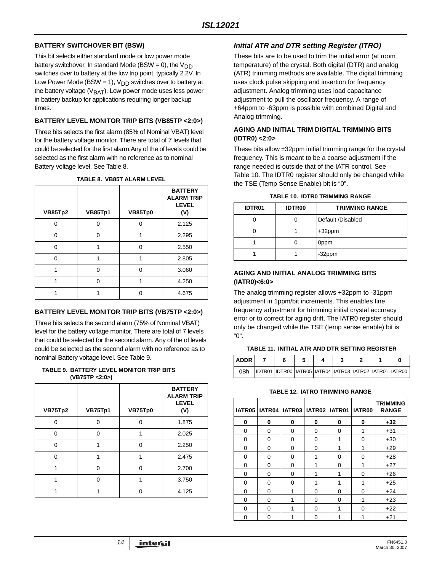## **BATTERY SWITCHOVER BIT (BSW)**

This bit selects either standard mode or low power mode battery switchover. In standard Mode (BSW = 0), the  $V_{DD}$ switches over to battery at the low trip point, typically 2.2V. In Low Power Mode (BSW = 1),  $V_{DD}$  switches over to battery at the battery voltage ( $V<sub>BAT</sub>$ ). Low power mode uses less power in battery backup for applications requiring longer backup times.

### **BATTERY LEVEL MONITOR TRIP BITS (VB85TP <2:0>)**

Three bits selects the first alarm (85% of Nominal VBAT) level for the battery voltage monitor. There are total of 7 levels that could be selected for the first alarm.Any of the of levels could be selected as the first alarm with no reference as to nominal Battery voltage level. See Table [8](#page-13-0).

<span id="page-13-0"></span>

| <b>VB85Tp2</b> | <b>VB85Tp1</b> | VB85Tp0 | <b>BATTERY</b><br><b>ALARM TRIP</b><br><b>LEVEL</b><br>(V) |
|----------------|----------------|---------|------------------------------------------------------------|
| U              | n              | n       | 2.125                                                      |
| U              | ∩              | 1       | 2.295                                                      |
| $\Omega$       | 1              | U       | 2.550                                                      |
| U              |                |         | 2.805                                                      |
|                | ∩              | ∩       | 3.060                                                      |
| 1              | ∩              | 1       | 4.250                                                      |
|                |                |         | 4.675                                                      |

#### **TABLE 8. VB85T ALARM LEVEL**

### **BATTERY LEVEL MONITOR TRIP BITS (VB75TP <2:0>)**

Three bits selects the second alarm (75% of Nominal VBAT) level for the battery voltage monitor. There are total of 7 levels that could be selected for the second alarm. Any of the of levels could be selected as the second alarm with no reference as to nominal Battery voltage level. See Table 9.

**TABLE 9. BATTERY LEVEL MONITOR TRIP BITS (VB75TP <2:0>)**

| VB75Tp2  | VB75Tp1 | VB75Tp0  | <b>BATTERY</b><br><b>ALARM TRIP</b><br><b>LEVEL</b><br>(V) |
|----------|---------|----------|------------------------------------------------------------|
| n        | ∩       | n        | 1.875                                                      |
| ∩        | ∩       |          | 2.025                                                      |
| $\Omega$ |         | $\Omega$ | 2.250                                                      |
| ∩        |         |          | 2.475                                                      |
|          | ∩       | ŋ        | 2.700                                                      |
|          | ∩       |          | 3.750                                                      |
|          |         |          | 4.125                                                      |

# *Initial ATR and DTR setting Register (ITRO)*

These bits are to be used to trim the initial error (at room temperature) of the crystal. Both digital (DTR) and analog (ATR) trimming methods are available. The digital trimming uses clock pulse skipping and insertion for frequency adjustment. Analog trimming uses load capacitance adjustment to pull the oscillator frequency. A range of +64ppm to -63ppm is possible with combined Digital and Analog trimming.

## **AGING AND INITIAL TRIM DIGITAL TRIMMING BITS (IDTR0) <2:0>**

These bits allow ±32ppm initial trimming range for the crystal frequency. This is meant to be a coarse adjustment if the range needed is outside that of the IATR control. See Table 10. The IDTR0 register should only be changed while the TSE (Temp Sense Enable) bit is "0".

| <b>IDTR01</b> | <b>IDTR00</b> | <b>TRIMMING RANGE</b> |  |  |  |  |  |  |  |
|---------------|---------------|-----------------------|--|--|--|--|--|--|--|
|               |               | Default /Disabled     |  |  |  |  |  |  |  |
|               |               | $+32$ ppm             |  |  |  |  |  |  |  |
|               |               | 0ppm                  |  |  |  |  |  |  |  |
|               |               | -32ppm                |  |  |  |  |  |  |  |

**TABLE 10. IDTR0 TRIMMING RANGE**

## **AGING AND INITIAL ANALOG TRIMMING BITS (IATR0)<6:0>**

The analog trimming register allows +32ppm to -31ppm adjustment in 1ppm/bit increments. This enables fine frequency adjustment for trimming initial crystal accuracy error or to correct for aging drift. The IATR0 register should only be changed while the TSE (temp sense enable) bit is "0".

# **TABLE 11. INITIAL ATR AND DTR SETTING REGISTER**

| <b>ADDR</b> |                                                         |  |  |  |
|-------------|---------------------------------------------------------|--|--|--|
| 0Bh         | IDTR01 IDTR00 IATR05 IATR04 IATR03 IATR02 IATR01 IATR00 |  |  |  |

# **TABLE 12. IATRO TRIMMING RANGE**

|          |          | IATR05   IATR04   IATR03   IATR02   IATR01   IATR00 |   |   |          | <b>TRIMMING</b><br><b>RANGE</b> |
|----------|----------|-----------------------------------------------------|---|---|----------|---------------------------------|
| 0        | 0        | 0                                                   | 0 | 0 | 0        | $+32$                           |
| 0        | 0        | 0                                                   | 0 | 0 | 1        | $+31$                           |
| $\Omega$ | $\Omega$ | 0                                                   | O |   | $\Omega$ | $+30$                           |
| 0        | 0        | 0                                                   | 0 | 1 | 1        | $+29$                           |
| $\Omega$ | 0        | 0                                                   |   | 0 | $\Omega$ | $+28$                           |
| 0        | 0        | 0                                                   |   | 0 | 1        | $+27$                           |
| 0        | $\Omega$ | 0                                                   |   | 1 | $\Omega$ | $+26$                           |
| 0        | 0        | 0                                                   |   | 1 | 1        | $+25$                           |
| 0        | 0        |                                                     | 0 | 0 | $\Omega$ | $+24$                           |
| $\Omega$ | $\Omega$ |                                                     | 0 | 0 |          | $+23$                           |
| 0        | ი        |                                                     | U |   | O        | $+22$                           |
| ი        | O        |                                                     | ∩ |   |          | $+21$                           |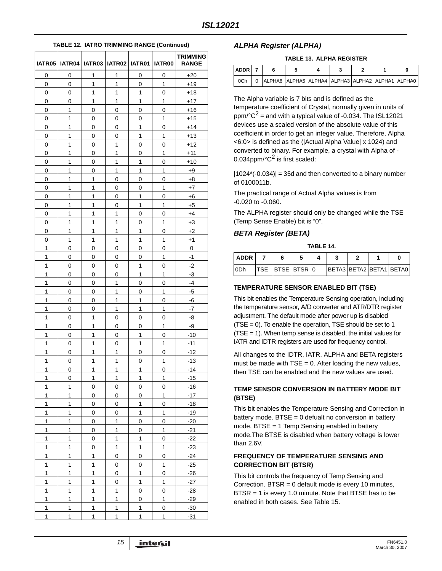|              | IATR05   IATR04   IATR03   IATR02   IATR01 |              |              |              | <b>IATR00</b> | <b>TRIMMING</b><br><b>RANGE</b> |
|--------------|--------------------------------------------|--------------|--------------|--------------|---------------|---------------------------------|
| 0            | 0                                          | $\mathbf{1}$ | 1            | 0            | 0             | $+20$                           |
| 0            | 0                                          | 1            | 1            | 0            | 1             | $+19$                           |
| 0            | 0                                          | 1            | 1            | 1            | 0             | +18                             |
| 0            | 0                                          | 1            | 1            | 1            | 1             | $+17$                           |
| 0            | 1                                          | 0            | 0            | 0            | 0             | +16                             |
| 0            | 1                                          | 0            | 0            | 0            | 1             | $+15$                           |
| 0            | 1                                          | 0            | 0            | 1            | 0             | $+14$                           |
| 0            | 1                                          | 0            | 0            | 1            | 1             | $+13$                           |
| 0            | 1                                          | 0            | 1            | 0            | 0             | $+12$                           |
| 0            | 1                                          | 0            | 1            | 0            | 1             | $+11$                           |
| 0            | 1                                          | 0            | 1            | 1            | 0             | $+10$                           |
| 0            | 1                                          | 0            | 1            | 1            | 1             | $+9$                            |
| 0            | 1                                          | 1            | 0            | 0            | 0             | $+8$                            |
| 0            | 1                                          | 1            | 0            | 0            | 1             | $+7$                            |
| 0            | 1                                          | 1            | 0            | 1            | 0             | $+6$                            |
| 0            | 1                                          | 1            | 0            | 1            | 1             | $+5$                            |
| 0            | 1                                          | 1            | 1            | 0            | 0             | $+4$                            |
| 0            | 1                                          | 1            | 1            | 0            | 1             | $+3$                            |
| 0            | 1                                          | 1            | 1            | 1            | 0             | $+2$                            |
| 0            | 1                                          | 1            | 1            | 1            | 1             | $+1$                            |
| 1            | 0                                          | 0            | 0            | 0            | 0             | 0                               |
| 1            | 0                                          | 0            | 0            | 0            | 1             | $-1$                            |
| 1            | 0                                          | 0            | 0            | 1            | 0             | -2                              |
| 1            | 0                                          | 0            | 0            | 1            | 1             | -3                              |
| 1            | 0                                          | 0            | 1            | 0            | 0             | $-4$                            |
| 1            | 0                                          | 0            | 1            | 0            | 1             | -5                              |
| 1            | 0                                          | 0            | 1            | 1            | 0             | -6                              |
| 1            | 0                                          | 0            | 1            | 1            | 1             | -7                              |
| 1            | 0                                          | 1            | 0            | 0            | 0             | -8                              |
| 1            | 0                                          | 1            | 0            | 0            | 1             | -9                              |
| 1            | 0                                          | 1            | 0            | 1            | 0             | -10                             |
| 1            | 0                                          | 1            | 0            | 1            | 1             | $-11$                           |
| 1            | 0                                          | 1            | 1            | 0            | 0             | -12                             |
| 1            | 0                                          | 1            | 1            | 0            | 1             | $-13$                           |
| 1            | 0                                          | 1            | 1            | 1            | 0             | -14                             |
| 1            | 0                                          | $\mathbf{1}$ | 1            | 1            | 1             | $-15$                           |
| 1            | 1                                          | 0            | 0            | 0            | 0             | $-16$                           |
| 1            | 1                                          | 0            | 0            | 0            | 1             | $-17$                           |
| 1            | 1                                          | 0            | 0            | 1            | 0             | -18                             |
| 1            | 1                                          | 0            | 0            | 1            | 1             | -19                             |
| 1            | 1                                          | 0            | 1            | 0            | 0             | $-20$                           |
| 1            | 1                                          | 0            | 1            | 0            | 1             | $-21$                           |
| 1            | 1                                          | 0            | 1            | 1            | 0             | $-22$                           |
| 1            | 1                                          | 0            | 1            | 1            | 1             | $-23$                           |
| 1            | 1                                          | 1            | 0            | 0            | 0             | $-24$                           |
| 1            | 1                                          | 1            | 0            | 0            | 1             | $-25$                           |
| 1            | 1                                          | 1            | 0            | 1            | 0             | $-26$                           |
| 1            | 1                                          | 1            | 0            | 1            | 1             | $-27$                           |
| 1            | 1                                          | 1            | 1            | 0            | 0             | $-28$                           |
| 1            | 1                                          | 1            | 1            | 0            | 1             | $-29$                           |
| 1            | 1                                          | 1            | 1            | 1            | 0             | $-30$                           |
| $\mathbf{1}$ | 1                                          | 1            | $\mathbf{1}$ | $\mathbf{1}$ | 1             | $-31$                           |

#### **TABLE 12. IATRO TRIMMING RANGE (Continued)**

## *ALPHA Register (ALPHA)*

#### **TABLE 13. ALPHA REGISTER**

| ADDR 7 |                                                    |  |  |  |
|--------|----------------------------------------------------|--|--|--|
| 0Ch    | 0 ALPHA6 ALPHA5 ALPHA4 ALPHA3 ALPHA2 ALPHA1 ALPHA0 |  |  |  |

The Alpha variable is 7 bits and is defined as the temperature coefficient of Crystal, normally given in units of  $ppm$ <sup>o</sup> $C^2$  = and with a typical value of -0.034. The ISL12021 devices use a scaled version of the absolute value of this coefficient in order to get an integer value. Therefore, Alpha <6:0> is defined as the (|Actual Alpha Value| x 1024) and converted to binary. For example, a crystal with Alpha of - 0.034ppm/ $^{\circ}$ C<sup>2</sup> is first scaled:

 $|1024*(-0.034)| = 35d$  and then converted to a binary number of 0100011b.

The practical range of Actual Alpha values is from -0.020 to -0.060.

The ALPHA register should only be changed while the TSE (Temp Sense Enable) bit is "0".

#### *BETA Register (BETA)*

**TABLE 14.**

| <b>ADDR</b>      |                        |  |                         |  |  |
|------------------|------------------------|--|-------------------------|--|--|
| 10D <sub>b</sub> | <b>TSE BTSE BTSR 0</b> |  | BETA3 BETA2 BETA1 BETA0 |  |  |

#### **TEMPERATURE SENSOR ENABLED BIT (TSE)**

This bit enables the Temperature Sensing operation, including the temperature sensor, A/D converter and ATR/DTR register adjustment. The default mode after power up is disabled (TSE = 0). To enable the operation, TSE should be set to 1  $(TSE = 1)$ . When temp sense is disabled, the initial values for IATR and IDTR registers are used for frequency control.

All changes to the IDTR, IATR, ALPHA and BETA registers must be made with  $TSE = 0$ . After loading the new values, then TSE can be enabled and the new values are used.

#### **TEMP SENSOR CONVERSION IN BATTERY MODE BIT (BTSE)**

This bit enables the Temperature Sensing and Correction in battery mode.  $BTSE = 0$  defualt no conversion in battery mode. BTSE = 1 Temp Sensing enabled in battery mode.The BTSE is disabled when battery voltage is lower than 2.6V.

#### **FREQUENCY OF TEMPERATURE SENSING AND CORRECTION BIT (BTSR)**

This bit controls the frequency of Temp Sensing and Correction. BTSR = 0 default mode is every 10 minutes, BTSR = 1 is every 1.0 minute. Note that BTSE has to be enabled in both cases. See Table [15.](#page-15-1)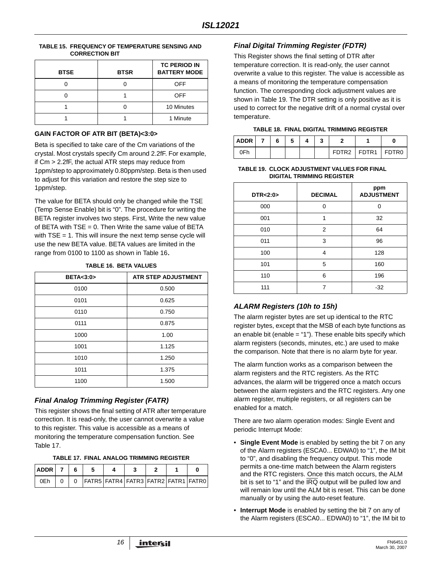<span id="page-15-1"></span>

| TABLE 15. FREQUENCY OF TEMPERATURE SENSING AND |
|------------------------------------------------|
| <b>CORRECTION BIT</b>                          |

| <b>BTSE</b> | <b>BTSR</b> | <b>TC PERIOD IN</b><br><b>BATTERY MODE</b> |
|-------------|-------------|--------------------------------------------|
|             |             | <b>OFF</b>                                 |
|             |             | <b>OFF</b>                                 |
|             |             | 10 Minutes                                 |
|             |             | 1 Minute                                   |

#### **GAIN FACTOR OF ATR BIT (BETA)<3:0>**

Beta is specified to take care of the Cm variations of the crystal. Most crystals specify Cm around 2.2fF. For example, if Cm > 2.2fF, the actual ATR steps may reduce from 1ppm/step to approximately 0.80ppm/step. Beta is then used to adjust for this variation and restore the step size to 1ppm/step.

The value for BETA should only be changed while the TSE (Temp Sense Enable) bit is "0". The procedure for writing the BETA register involves two steps. First, Write the new value of BETA with  $TSE = 0$ . Then Write the same value of BETA with  $TSE = 1$ . This will insure the next temp sense cycle will use the new BETA value. BETA values are limited in the range from 0100 to 1100 as shown in Table [16](#page-15-3).

<span id="page-15-3"></span>

| <b>BETA&lt;3:0&gt;</b> | <b>ATR STEP ADJUSTMENT</b> |
|------------------------|----------------------------|
| 0100                   | 0.500                      |
| 0101                   | 0.625                      |
| 0110                   | 0.750                      |
| 0111                   | 0.875                      |
| 1000                   | 1.00                       |
| 1001                   | 1.125                      |
| 1010                   | 1.250                      |
| 1011                   | 1.375                      |
| 1100                   | 1.500                      |

#### **TABLE 16. BETA VALUES**

# *Final Analog Trimming Register (FATR)*

This register shows the final setting of ATR after temperature correction. It is read-only, the user cannot overwrite a value to this register. This value is accessible as a means of monitoring the temperature compensation function. See Table [17.](#page-15-4)

<span id="page-15-4"></span>

| $ADDR$ 7 6 |  |  |                                                   |  |  |
|------------|--|--|---------------------------------------------------|--|--|
| 0Eh        |  |  | 0   FATR5   FATR4   FATR3   FATR2   FATR1   FATR0 |  |  |

# *Final Digital Trimming Register (FDTR)*

This Register shows the final setting of DTR after temperature correction. It is read-only, the user cannot overwrite a value to this register. The value is accessible as a means of monitoring the temperature compensation function. The corresponding clock adjustment values are shown in Table [19.](#page-15-2) The DTR setting is only positive as it is used to correct for the negative drift of a normal crystal over temperature.

|  |  | TABLE 18.  FINAL DIGITAL TRIMMING REGISTER |
|--|--|--------------------------------------------|
|  |  |                                            |

| <b>ADDR</b> | 6. | D. |  |       |                 |  |
|-------------|----|----|--|-------|-----------------|--|
| 0Fh         |    |    |  | FDTR2 | $FDTR1$ $FDTR0$ |  |

#### <span id="page-15-2"></span>**TABLE 19. CLOCK ADJUSTMENT VALUES FOR FINAL DIGITAL TRIMMING REGISTER**

| DTR<2:0> | <b>DECIMAL</b> | ppm<br><b>ADJUSTMENT</b> |
|----------|----------------|--------------------------|
| 000      | 0              | 0                        |
| 001      | 1              | 32                       |
| 010      | 2              | 64                       |
| 011      | 3              | 96                       |
| 100      | 4              | 128                      |
| 101      | 5              | 160                      |
| 110      | 6              | 196                      |
| 111      | 7              | $-32$                    |

# <span id="page-15-0"></span>*ALARM Registers (10h to 15h)*

The alarm register bytes are set up identical to the RTC register bytes, except that the MSB of each byte functions as an enable bit (enable = "1"). These enable bits specify which alarm registers (seconds, minutes, etc.) are used to make the comparison. Note that there is no alarm byte for year.

The alarm function works as a comparison between the alarm registers and the RTC registers. As the RTC advances, the alarm will be triggered once a match occurs between the alarm registers and the RTC registers. Any one alarm register, multiple registers, or all registers can be enabled for a match.

There are two alarm operation modes: Single Event and periodic Interrupt Mode:

- **Single Event Mode** is enabled by setting the bit 7 on any of the Alarm registers (ESCA0... EDWA0) to "1", the IM bit to "0", and disabling the frequency output. This mode permits a one-time match between the Alarm registers and the RTC registers. Once this match occurs, the ALM bit is set to "1" and the IRQ output will be pulled low and will remain low until the ALM bit is reset. This can be done manually or by using the auto-reset feature.
- **Interrupt Mode** is enabled by setting the bit 7 on any of the Alarm registers (ESCA0... EDWA0) to "1", the IM bit to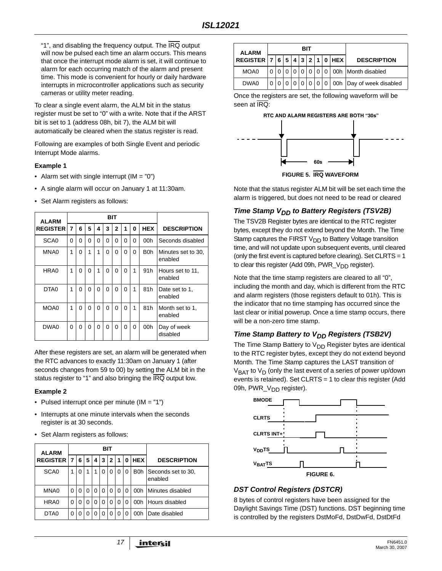"1", and disabling the frequency output. The IRQ output will now be pulsed each time an alarm occurs. This means that once the interrupt mode alarm is set, it will continue to alarm for each occurring match of the alarm and present time. This mode is convenient for hourly or daily hardware interrupts in microcontroller applications such as security cameras or utility meter reading.

To clear a single event alarm, the ALM bit in the status register must be set to "0" with a write. Note that if the ARST bit is set to 1 (address 08h, bit 7), the ALM bit will automatically be cleared when the status register is read.

Following are examples of both Single Event and periodic Interrupt Mode alarms.

#### **Example 1**

- Alarm set with single interrupt  $(IM = "0")$
- A single alarm will occur on January 1 at 11:30am.
- Set Alarm registers as follows:

| <b>ALARM</b>     |   |          |          |   |   | BIT          |          |   |            |                               |
|------------------|---|----------|----------|---|---|--------------|----------|---|------------|-------------------------------|
| <b>REGISTER</b>  | 7 | 6        | 5        | 4 | 3 | $\mathbf{2}$ | 1        | 0 | <b>HEX</b> | <b>DESCRIPTION</b>            |
| SCA <sub>0</sub> | 0 | 0        | $\Omega$ | 0 | 0 | 0            | 0        | 0 | 00h        | Seconds disabled              |
| MNA0             | 1 | 0        | 1        | 1 | 0 | 0            | 0        | 0 | B0h        | Minutes set to 30.<br>enabled |
| HRA0             | 1 | 0        | 0        | 1 | 0 | 0            | 0        | 1 | 91h        | Hours set to 11.<br>enabled   |
| DTA <sub>0</sub> | 1 | $\Omega$ | 0        | 0 | 0 | 0            | $\Omega$ | 1 | 81h        | Date set to 1.<br>enabled     |
| MOA0             | 1 | 0        | 0        | 0 | 0 | 0            | 0        | 1 | 81h        | Month set to 1.<br>enabled    |
| DWA0             | 0 | 0        | 0        | 0 | 0 | 0            | 0        | 0 | 00h        | Day of week<br>disabled       |

After these registers are set, an alarm will be generated when the RTC advances to exactly 11:30am on January 1 (after seconds changes from 59 to 00) by setting the ALM bit in the status register to "1" and also bringing the IRQ output low.

#### **Example 2**

- Pulsed interrupt once per minute (IM = "1")
- Interrupts at one minute intervals when the seconds register is at 30 seconds.
- Set Alarm registers as follows:

| <b>ALARM</b>     |          | BIT |              |          |              |              |          |   |            |                                   |
|------------------|----------|-----|--------------|----------|--------------|--------------|----------|---|------------|-----------------------------------|
| <b>REGISTER</b>  | 7        | 6   | 5            | 4        | 3            | $\mathbf{2}$ | 1        | 0 | <b>HEX</b> | <b>DESCRIPTION</b>                |
| SCA <sub>0</sub> |          | 0   |              | 1        | 0            | O            | $\Omega$ | 0 |            | B0h Seconds set to 30,<br>enabled |
| MNA0             | $\Omega$ | 0   | 0            | $\Omega$ | 0            | 0            | $\Omega$ | 0 |            | 00h Minutes disabled              |
| HRA0             | 0        | 0   | 0            | 0        | 0            | 0            | 0        | 0 |            | 00h Hours disabled                |
| DTA0             | 0        | 0   | $\mathbf{0}$ | 0        | $\mathbf{0}$ | 0            | 0        | 0 | 00h        | Date disabled                     |

| <b>ALARM</b>      |  |            |         | BIT |  |   |       |                            |
|-------------------|--|------------|---------|-----|--|---|-------|----------------------------|
| <b>REGISTER 7</b> |  | $6 \mid 5$ | 4 3 2 1 |     |  |   | 0 HEX | <b>DESCRIPTION</b>         |
| MOA0              |  |            |         |     |  | 0 |       | 00h   Month disabled       |
| DWA0              |  |            |         |     |  |   |       | 00h   Day of week disabled |

Once the registers are set, the following waveform will be seen at **IRQ**:



**FIGURE 5. IRQ WAVEFORM**

Note that the status register ALM bit will be set each time the alarm is triggered, but does not need to be read or cleared

#### **Time Stamp V<sub>DD</sub> to Battery Registers (TSV2B)**

The TSV2B Register bytes are identical to the RTC register bytes, except they do not extend beyond the Month. The Time Stamp captures the FIRST  $V_{DD}$  to Battery Voltage transition time, and will not update upon subsequent events, until cleared (only the first event is captured before clearing). Set CLRTS = 1 to clear this register (Add 09h,  $PWR_V_{DD}$  register).

Note that the time stamp registers are cleared to all "0", including the month and day, which is different from the RTC and alarm registers (those registers default to 01h). This is the indicator that no time stamping has occurred since the last clear or initial powerup. Once a time stamp occurs, there will be a non-zero time stamp.

### **Time Stamp Battery to V<sub>DD</sub> Registers (TSB2V)**

The Time Stamp Battery to  $V_{DD}$  Register bytes are identical to the RTC register bytes, except they do not extend beyond Month. The Time Stamp captures the LAST transition of  $V<sub>BAT</sub>$  to  $V<sub>D</sub>$  (only the last event of a series of power up/down events is retained). Set CLRTS = 1 to clear this register (Add 09h, PWR\_V<sub>DD</sub> register).



### *DST Control Registers (DSTCR)*

8 bytes of control registers have been assigned for the Daylight Savings Time (DST) functions. DST beginning time is controlled by the registers DstMoFd, DstDwFd, DstDtFd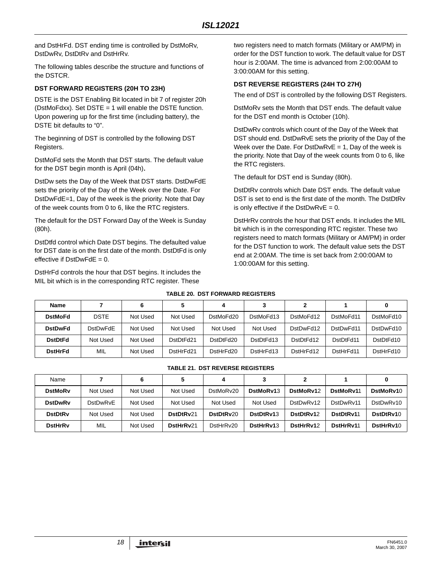and DstHrFd. DST ending time is controlled by DstMoRv, DstDwRv, DstDtRv and DstHrRv.

The following tables describe the structure and functions of the DSTCR.

#### **DST FORWARD REGISTERS (20H TO 23H)**

DSTE is the DST Enabling Bit located in bit 7 of register 20h (DstMoFdxx). Set DSTE = 1 will enable the DSTE function. Upon powering up for the first time (including battery), the DSTE bit defaults to "0".

The beginning of DST is controlled by the following DST Registers.

DstMoFd sets the Month that DST starts. The default value for the DST begin month is April (04h).

DstDw sets the Day of the Week that DST starts. DstDwFdE sets the priority of the Day of the Week over the Date. For DstDwFdE=1, Day of the week is the priority. Note that Day of the week counts from 0 to 6, like the RTC registers.

The default for the DST Forward Day of the Week is Sunday (80h).

DstDtfd control which Date DST begins. The defaulted value for DST date is on the first date of the month. DstDtFd is only effective if  $DstDwFdE = 0$ .

DstHrFd controls the hour that DST begins. It includes the MIL bit which is in the corresponding RTC register. These

two registers need to match formats (Military or AM/PM) in order for the DST function to work. The default value for DST hour is 2:00AM. The time is advanced from 2:00:00AM to 3:00:00AM for this setting.

#### **DST REVERSE REGISTERS (24H TO 27H)**

The end of DST is controlled by the following DST Registers.

DstMoRv sets the Month that DST ends. The default value for the DST end month is October (10h).

DstDwRv controls which count of the Day of the Week that DST should end. DstDwRvE sets the priority of the Day of the Week over the Date. For DstDwRvE = 1, Day of the week is the priority. Note that Day of the week counts from 0 to 6, like the RTC registers.

The default for DST end is Sunday (80h).

DstDtRv controls which Date DST ends. The default value DST is set to end is the first date of the month. The DstDtRv is only effective if the  $DstDwRvE = 0$ .

DstHrRv controls the hour that DST ends. It includes the MIL bit which is in the corresponding RTC register. These two registers need to match formats (Military or AM/PM) in order for the DST function to work. The default value sets the DST end at 2:00AM. The time is set back from 2:00:00AM to 1:00:00AM for this setting.

#### **TABLE 20. DST FORWARD REGISTERS**

| <b>Name</b>    |                 | 6        |           | 4         |           |           |           |           |
|----------------|-----------------|----------|-----------|-----------|-----------|-----------|-----------|-----------|
| <b>DstMoFd</b> | <b>DSTE</b>     | Not Used | Not Used  | DstMoFd20 | DstMoFd13 | DstMoFd12 | DstMoFd11 | DstMoFd10 |
| <b>DstDwFd</b> | <b>DstDwFdE</b> | Not Used | Not Used  | Not Used  | Not Used  | DstDwFd12 | DstDwFd11 | DstDwFd10 |
| <b>DstDtFd</b> | Not Used        | Not Used | DstDtFd21 | DstDtFd20 | DstDtFd13 | DstDtFd12 | DstDtFd11 | DstDtFd10 |
| <b>DstHrFd</b> | <b>MIL</b>      | Not Used | DstHrFd21 | DstHrFd20 | DstHrFd13 | DstHrFd12 | DstHrFd11 | DstHrFd10 |

#### **TABLE 21. DST REVERSE REGISTERS**

| Name           |                 | 6        | 5         |           | 3         |           |           |           |
|----------------|-----------------|----------|-----------|-----------|-----------|-----------|-----------|-----------|
| <b>DstMoRv</b> | Not Used        | Not Used | Not Used  | DstMoRv20 | DstMoRv13 | DstMoRv12 | DstMoRv11 | DstMoRv10 |
| <b>DstDwRv</b> | <b>DstDwRvE</b> | Not Used | Not Used  | Not Used  | Not Used  | DstDwRv12 | DstDwRv11 | DstDwRv10 |
| <b>DstDtRv</b> | Not Used        | Not Used | DstDtRv21 | DstDtRy20 | DstDtRv13 | DstDtRv12 | DstDtRv11 | DstDtRv10 |
| <b>DstHrRv</b> | MIL             | Not Used | DstHrRv21 | DstHrRv20 | DstHrRv13 | DstHrRv12 | DstHrRv11 | DstHrRv10 |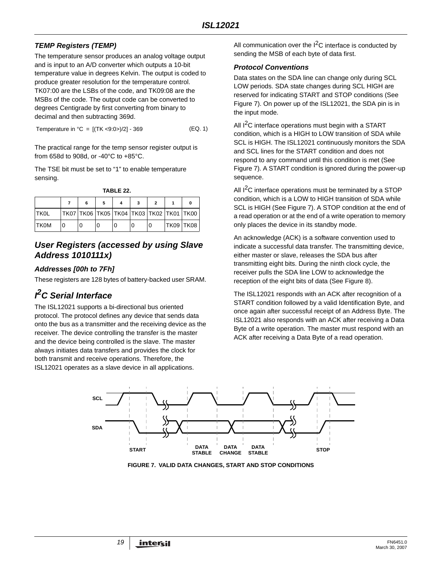# *TEMP Registers (TEMP)*

The temperature sensor produces an analog voltage output and is input to an A/D converter which outputs a 10-bit temperature value in degrees Kelvin. The output is coded to produce greater resolution for the temperature control. TK07:00 are the LSBs of the code, and TK09:08 are the MSBs of the code. The output code can be converted to degrees Centigrade by first converting from binary to decimal and then subtracting 369d.

Temperature in  ${}^{\circ}C = [(TK < 9:0) / 2] - 369$  (EQ. 1)

The practical range for the temp sensor register output is from 658d to 908d, or -40°C to +85°C.

The TSE bit must be set to "1" to enable temperature sensing.

**TABLE 22.**

|             |                                                |  |  |                  | o |
|-------------|------------------------------------------------|--|--|------------------|---|
| <b>TKOL</b> | TK07  TK06  TK05  TK04  TK03  TK02  TK01  TK00 |  |  |                  |   |
| <b>TKOM</b> |                                                |  |  | <b>TK09 TK08</b> |   |

# *User Registers (accessed by using Slave Address 1010111x)*

## *Addresses [00h to 7Fh]*

These registers are 128 bytes of battery-backed user SRAM.

# *I 2C Serial Interface*

The ISL12021 supports a bi-directional bus oriented protocol. The protocol defines any device that sends data onto the bus as a transmitter and the receiving device as the receiver. The device controlling the transfer is the master and the device being controlled is the slave. The master always initiates data transfers and provides the clock for both transmit and receive operations. Therefore, the ISL12021 operates as a slave device in all applications.

All communication over the  $I<sup>2</sup>C$  interface is conducted by sending the MSB of each byte of data first.

## *Protocol Conventions*

Data states on the SDA line can change only during SCL LOW periods. SDA state changes during SCL HIGH are reserved for indicating START and STOP conditions (See Figure [7\)](#page-18-0). On power up of the ISL12021, the SDA pin is in the input mode.

All  $1^2$ C interface operations must begin with a START condition, which is a HIGH to LOW transition of SDA while SCL is HIGH. The ISL12021 continuously monitors the SDA and SCL lines for the START condition and does not respond to any command until this condition is met (See Figure [7\)](#page-18-0). A START condition is ignored during the power-up sequence.

All  $I^2C$  interface operations must be terminated by a STOP condition, which is a LOW to HIGH transition of SDA while SCL is HIGH (See Figure [7](#page-18-0)). A STOP condition at the end of a read operation or at the end of a write operation to memory only places the device in its standby mode.

An acknowledge (ACK) is a software convention used to indicate a successful data transfer. The transmitting device, either master or slave, releases the SDA bus after transmitting eight bits. During the ninth clock cycle, the receiver pulls the SDA line LOW to acknowledge the reception of the eight bits of data (See Figure [8](#page-19-0)).

The ISL12021 responds with an ACK after recognition of a START condition followed by a valid Identification Byte, and once again after successful receipt of an Address Byte. The ISL12021 also responds with an ACK after receiving a Data Byte of a write operation. The master must respond with an ACK after receiving a Data Byte of a read operation.



<span id="page-18-0"></span>**FIGURE 7. VALID DATA CHANGES, START AND STOP CONDITIONS**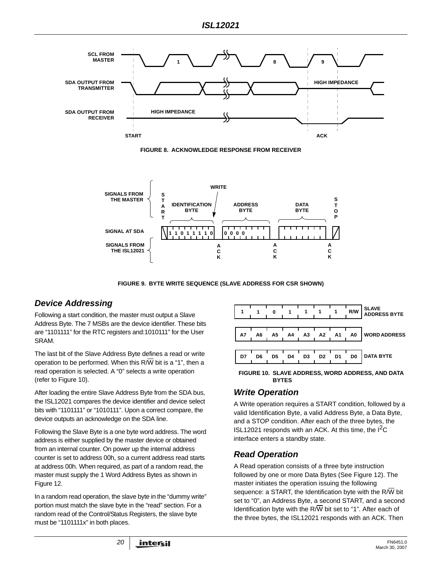

**FIGURE 8. ACKNOWLEDGE RESPONSE FROM RECEIVER**

<span id="page-19-0"></span>

**FIGURE 9. BYTE WRITE SEQUENCE (SLAVE ADDRESS FOR CSR SHOWN)**

# *Device Addressing*

Following a start condition, the master must output a Slave Address Byte. The 7 MSBs are the device identifier. These bits are "1101111" for the RTC registers and:1010111" for the User SRAM.

The last bit of the Slave Address Byte defines a read or write operation to be performed. When this R/W bit is a "1", then a read operation is selected. A "0" selects a write operation (refer to Figure [10](#page-19-1)).

After loading the entire Slave Address Byte from the SDA bus, the ISL12021 compares the device identifier and device select bits with "1101111" or "1010111". Upon a correct compare, the device outputs an acknowledge on the SDA line.

Following the Slave Byte is a one byte word address. The word address is either supplied by the master device or obtained from an internal counter. On power up the internal address counter is set to address 00h, so a current address read starts at address 00h. When required, as part of a random read, the master must supply the 1 Word Address Bytes as shown in Figure 12.

In a random read operation, the slave byte in the "dummy write" portion must match the slave byte in the "read" section. For a random read of the Control/Status Registers, the slave byte must be "1101111x" in both places.



<span id="page-19-1"></span>**FIGURE 10. SLAVE ADDRESS, WORD ADDRESS, AND DATA BYTES**

# *Write Operation*

A Write operation requires a START condition, followed by a valid Identification Byte, a valid Address Byte, a Data Byte, and a STOP condition. After each of the three bytes, the ISL12021 responds with an ACK. At this time, the  $I^2C$ interface enters a standby state.

# *Read Operation*

A Read operation consists of a three byte instruction followed by one or more Data Bytes (See Figure 12). The master initiates the operation issuing the following sequence: a START, the Identification byte with the  $R/\overline{W}$  bit set to "0", an Address Byte, a second START, and a second Identification byte with the R/W bit set to "1". After each of the three bytes, the ISL12021 responds with an ACK. Then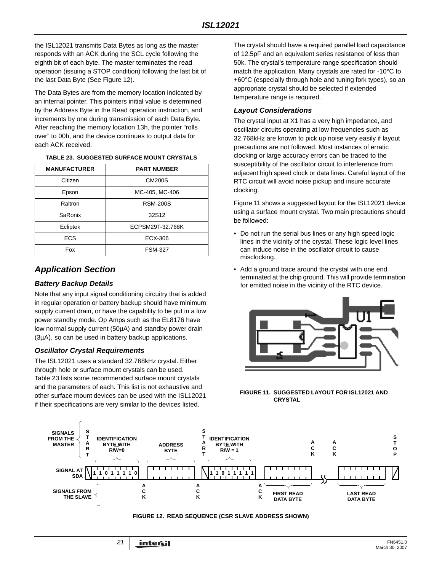the ISL12021 transmits Data Bytes as long as the master responds with an ACK during the SCL cycle following the eighth bit of each byte. The master terminates the read operation (issuing a STOP condition) following the last bit of the last Data Byte (See Figure 12).

The Data Bytes are from the memory location indicated by an internal pointer. This pointers initial value is determined by the Address Byte in the Read operation instruction, and increments by one during transmission of each Data Byte. After reaching the memory location 13h, the pointer "rolls over" to 00h, and the device continues to output data for each ACK received.

#### **TABLE 23. SUGGESTED SURFACE MOUNT CRYSTALS**

| <b>MANUFACTURER</b> | <b>PART NUMBER</b> |  |  |  |
|---------------------|--------------------|--|--|--|
| Citizen             | <b>CM200S</b>      |  |  |  |
| Epson               | MC-405, MC-406     |  |  |  |
| Raltron             | <b>RSM-200S</b>    |  |  |  |
| SaRonix             | 32S12              |  |  |  |
| Ecliptek            | ECPSM29T-32.768K   |  |  |  |
| <b>ECS</b>          | ECX-306            |  |  |  |
| Fox                 | <b>FSM-327</b>     |  |  |  |

# <span id="page-20-0"></span>*Application Section*

## *Battery Backup Details*

Note that any input signal conditioning circuitry that is added in regular operation or battery backup should have minimum supply current drain, or have the capability to be put in a low power standby mode. Op Amps such as the EL8176 have low normal supply current (50µA) and standby power drain (3µA), so can be used in battery backup applications.

### *Oscillator Crystal Requirements*

The ISL12021 uses a standard 32.768kHz crystal. Either through hole or surface mount crystals can be used. Table 23 lists some recommended surface mount crystals and the parameters of each. This list is not exhaustive and other surface mount devices can be used with the ISL12021 if their specifications are very similar to the devices listed.

The crystal should have a required parallel load capacitance of 12.5pF and an equivalent series resistance of less than 50k. The crystal's temperature range specification should match the application. Many crystals are rated for -10°C to +60°C (especially through hole and tuning fork types), so an appropriate crystal should be selected if extended temperature range is required.

## *Layout Considerations*

The crystal input at X1 has a very high impedance, and oscillator circuits operating at low frequencies such as 32.768kHz are known to pick up noise very easily if layout precautions are not followed. Most instances of erratic clocking or large accuracy errors can be traced to the susceptibility of the oscillator circuit to interference from adjacent high speed clock or data lines. Careful layout of the RTC circuit will avoid noise pickup and insure accurate clocking.

Figure [11](#page-20-1) shows a suggested layout for the ISL12021 device using a surface mount crystal. Two main precautions should be followed:

- Do not run the serial bus lines or any high speed logic lines in the vicinity of the crystal. These logic level lines can induce noise in the oscillator circuit to cause misclocking.
- Add a ground trace around the crystal with one end terminated at the chip ground. This will provide termination for emitted noise in the vicinity of the RTC device.



<span id="page-20-1"></span>**FIGURE 11. SUGGESTED LAYOUT FOR ISL12021 AND CRYSTAL**



#### **FIGURE 12. READ SEQUENCE (CSR SLAVE ADDRESS SHOWN)**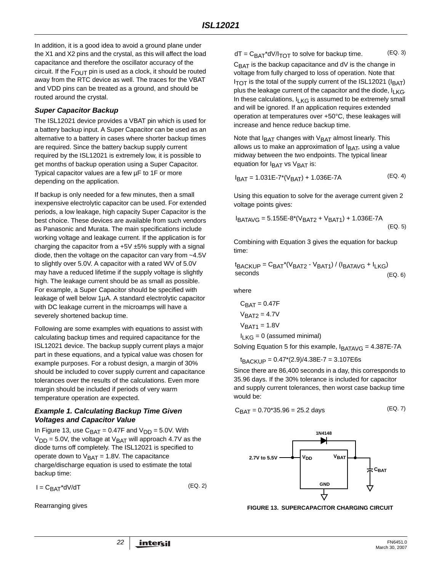In addition, it is a good idea to avoid a ground plane under the X1 and X2 pins and the crystal, as this will affect the load capacitance and therefore the oscillator accuracy of the circuit. If the  $F_{\text{OUT}}$  pin is used as a clock, it should be routed away from the RTC device as well. The traces for the VBAT and VDD pins can be treated as a ground, and should be routed around the crystal.

### *Super Capacitor Backup*

The ISL12021 device provides a VBAT pin which is used for a battery backup input. A Super Capacitor can be used as an alternative to a battery in cases where shorter backup times are required. Since the battery backup supply current required by the ISL12021 is extremely low, it is possible to get months of backup operation using a Super Capacitor. Typical capacitor values are a few µF to 1F or more depending on the application.

If backup is only needed for a few minutes, then a small inexpensive electrolytic capacitor can be used. For extended periods, a low leakage, high capacity Super Capacitor is the best choice. These devices are available from such vendors as Panasonic and Murata. The main specifications include working voltage and leakage current. If the application is for charging the capacitor from a  $+5V \pm 5%$  supply with a signal diode, then the voltage on the capacitor can vary from ~4.5V to slightly over 5.0V. A capacitor with a rated WV of 5.0V may have a reduced lifetime if the supply voltage is slightly high. The leakage current should be as small as possible. For example, a Super Capacitor should be specified with leakage of well below 1µA. A standard electrolytic capacitor with DC leakage current in the microamps will have a severely shortened backup time.

Following are some examples with equations to assist with calculating backup times and required capacitance for the ISL12021 device. The backup supply current plays a major part in these equations, and a typical value was chosen for example purposes. For a robust design, a margin of 30% should be included to cover supply current and capacitance tolerances over the results of the calculations. Even more margin should be included if periods of very warm temperature operation are expected.

#### *Example 1. Calculating Backup Time Given Voltages and Capacitor Value*

In Figure 13, use  $C_{\text{BAT}} = 0.47F$  and  $V_{\text{DD}} = 5.0V$ . With  $V_{DD}$  = 5.0V, the voltage at  $V_{BAT}$  will approach 4.7V as the diode turns off completely. The ISL12021 is specified to operate down to  $V_{\text{BAT}} = 1.8V$ . The capacitance charge/discharge equation is used to estimate the total backup time:

 $I = C_{\text{BAT}}^*dV/dT$  (EQ. 2)

Rearranging gives

 $dT = C_{BAT}^*dV/I_{TOT}$  to solve for backup time. (EQ. 3)

 $C_{\text{BAT}}$  is the backup capacitance and dV is the change in voltage from fully charged to loss of operation. Note that  $I<sub>TOT</sub>$  is the total of the supply current of the ISL12021 ( $I<sub>BAT</sub>$ ) plus the leakage current of the capacitor and the diode,  $I_{LKG}$ . In these calculations,  $I_{R}$ <sub>KG</sub> is assumed to be extremely small and will be ignored. If an application requires extended operation at temperatures over +50°C, these leakages will increase and hence reduce backup time.

Note that  $I_{BAT}$  changes with  $V_{BAT}$  almost linearly. This allows us to make an approximation of  $I<sub>BAT</sub>$ , using a value midway between the two endpoints. The typical linear equation for  $I<sub>BAT</sub>$  vs  $V<sub>BAT</sub>$  is:

$$
I_{BAT} = 1.031E-7*(V_{BAT}) + 1.036E-7A
$$
 (EQ. 4)

Using this equation to solve for the average current given 2 voltage points gives:

$$
I_{BATAVG} = 5.155E-8*(V_{BAT2} + V_{BAT1}) + 1.036E-7A
$$
\n(EQ. 5)

Combining with Equation 3 gives the equation for backup time:

$$
t_{\text{BACKUP}} = C_{\text{BAT}}^*(V_{\text{BAT2}} - V_{\text{BAT1}}) / (I_{\text{BATAVG}} + I_{\text{LKG}})
$$
\n
$$
EQ. 6) \tag{Eq. 6}
$$

where

$$
C_{BAT} = 0.47F
$$

$$
V_{BAT2} = 4.7V
$$

$$
V_{BAT1} = 1.8V
$$

 $I<sub>L</sub><sub>KG</sub> = 0$  (assumed minimal)

Solving Equation 5 for this example,  $I<sub>BATAVG</sub> = 4.387E-7A$ 

 $t_{\text{BACKUP}} = 0.47 \times (2.9)/4.38E - 7 = 3.107E6s$ 

Since there are 86,400 seconds in a day, this corresponds to 35.96 days. If the 30% tolerance is included for capacitor and supply current tolerances, then worst case backup time would be:

$$
C_{\text{BAT}} = 0.70^*35.96 = 25.2 \text{ days} \tag{Eq. 7}
$$



**FIGURE 13. SUPERCAPACITOR CHARGING CIRCUIT**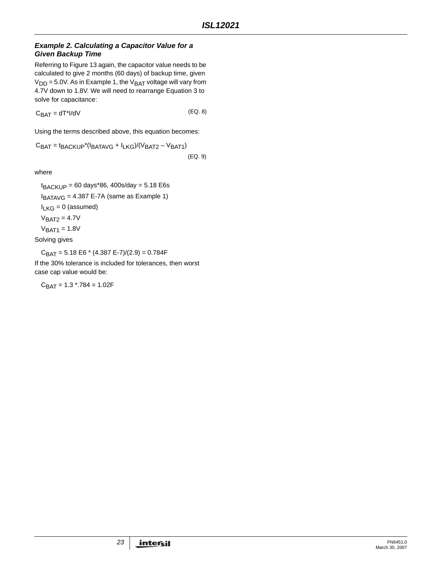#### *Example 2. Calculating a Capacitor Value for a Given Backup Time*

Referring to Figure 13 again, the capacitor value needs to be calculated to give 2 months (60 days) of backup time, given  $V<sub>DD</sub> = 5.0V$ . As in Example 1, the  $V<sub>BAT</sub>$  voltage will vary from 4.7V down to 1.8V. We will need to rearrange Equation 3 to solve for capacitance:

 $C_{\text{BAT}} = dT^*I/dV$  (EQ. 8)

Using the terms described above, this equation becomes:

 $C_{BAT} = t_{BACKUP}*(I_{BATAVG} + I_{LKG})/(V_{BAT2} - V_{BAT1})$ (EQ. 9)

where

 $t_{\text{BACKUP}} = 60 \text{ days} * 86, \frac{400 \text{s}}{\text{day}} = 5.18 \text{ E}6 \text{s}$  $I_{BATAVG} = 4.387 E-7A$  (same as Example 1)  $I<sub>LKG</sub> = 0$  (assumed)  $V<sub>BAT2</sub> = 4.7V$  $V<sub>BAT1</sub> = 1.8V$ 

Solving gives

 $C_{BAT} = 5.18 E6 * (4.387 E-7)/(2.9) = 0.784 F$ 

If the 30% tolerance is included for tolerances, then worst case cap value would be:

 $C_{BAT} = 1.3$  \*.784 = 1.02F